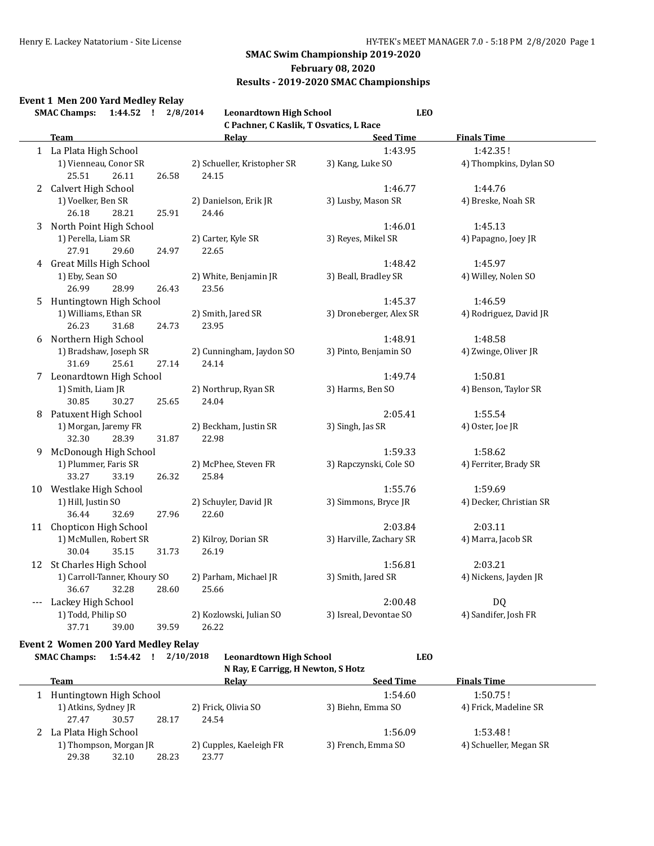### **February 08, 2020**

### **Results - 2019-2020 SMAC Championships**

### **Event 1 Men 200 Yard Medley Relay**

|                            | <b>SMAC Champs:</b><br>1:44.52 !                        | 2/8/2014<br><b>Leonardtown High School</b> | <b>LEO</b>              |                         |  |
|----------------------------|---------------------------------------------------------|--------------------------------------------|-------------------------|-------------------------|--|
|                            |                                                         | C Pachner, C Kaslik, T Osvatics, L Race    |                         |                         |  |
|                            | Team                                                    | Relay                                      | <b>Seed Time</b>        | <b>Finals Time</b>      |  |
|                            | 1 La Plata High School                                  |                                            | 1:43.95                 | 1:42.35!                |  |
|                            | 1) Vienneau, Conor SR<br>25.51<br>26.11<br>26.58        | 2) Schueller, Kristopher SR<br>24.15       | 3) Kang, Luke SO        | 4) Thompkins, Dylan SO  |  |
| $\mathbf{2}^{\mathbf{-1}}$ | Calvert High School                                     |                                            | 1:46.77                 | 1:44.76                 |  |
|                            | 1) Voelker, Ben SR<br>26.18<br>28.21<br>25.91           | 2) Danielson, Erik JR<br>24.46             | 3) Lusby, Mason SR      | 4) Breske, Noah SR      |  |
| 3                          | North Point High School                                 |                                            | 1:46.01                 | 1:45.13                 |  |
|                            | 1) Perella, Liam SR<br>27.91<br>29.60<br>24.97          | 2) Carter, Kyle SR<br>22.65                | 3) Reyes, Mikel SR      | 4) Papagno, Joey JR     |  |
|                            | 4 Great Mills High School                               |                                            | 1:48.42                 | 1:45.97                 |  |
|                            | 1) Eby, Sean SO<br>26.99<br>28.99<br>26.43              | 2) White, Benjamin JR<br>23.56             | 3) Beall, Bradley SR    | 4) Willey, Nolen SO     |  |
| 5.                         | Huntingtown High School                                 |                                            | 1:45.37                 | 1:46.59                 |  |
|                            | 1) Williams, Ethan SR<br>26.23<br>31.68<br>24.73        | 2) Smith, Jared SR<br>23.95                | 3) Droneberger, Alex SR | 4) Rodriguez, David JR  |  |
| 6                          | Northern High School                                    |                                            | 1:48.91                 | 1:48.58                 |  |
|                            | 1) Bradshaw, Joseph SR<br>31.69<br>25.61<br>27.14       | 2) Cunningham, Jaydon SO<br>24.14          | 3) Pinto, Benjamin SO   | 4) Zwinge, Oliver JR    |  |
|                            | 7 Leonardtown High School                               |                                            | 1:49.74                 | 1:50.81                 |  |
|                            | 1) Smith, Liam JR<br>30.85<br>30.27<br>25.65            | 2) Northrup, Ryan SR<br>24.04              | 3) Harms, Ben SO        | 4) Benson, Taylor SR    |  |
| 8                          | Patuxent High School                                    |                                            | 2:05.41                 | 1:55.54                 |  |
|                            | 1) Morgan, Jaremy FR<br>32.30<br>28.39<br>31.87         | 2) Beckham, Justin SR<br>22.98             | 3) Singh, Jas SR        | 4) Oster, Joe JR        |  |
| 9                          | McDonough High School                                   |                                            | 1:59.33                 | 1:58.62                 |  |
|                            | 1) Plummer, Faris SR<br>33.27<br>33.19<br>26.32         | 2) McPhee, Steven FR<br>25.84              | 3) Rapczynski, Cole SO  | 4) Ferriter, Brady SR   |  |
|                            | 10 Westlake High School                                 |                                            | 1:55.76                 | 1:59.69                 |  |
|                            | 1) Hill, Justin SO<br>36.44<br>32.69<br>27.96           | 2) Schuyler, David JR<br>22.60             | 3) Simmons, Bryce JR    | 4) Decker, Christian SR |  |
|                            | 11 Chopticon High School                                |                                            | 2:03.84                 | 2:03.11                 |  |
|                            | 1) McMullen, Robert SR<br>30.04<br>35.15<br>31.73       | 2) Kilroy, Dorian SR<br>26.19              | 3) Harville, Zachary SR | 4) Marra, Jacob SR      |  |
|                            | 12 St Charles High School                               |                                            | 1:56.81                 | 2:03.21                 |  |
|                            | 1) Carroll-Tanner, Khoury SO<br>36.67<br>32.28<br>28.60 | 2) Parham, Michael JR<br>25.66             | 3) Smith, Jared SR      | 4) Nickens, Jayden JR   |  |
|                            | Lackey High School                                      |                                            | 2:00.48                 | DQ                      |  |
|                            | 1) Todd, Philip SO<br>37.71<br>39.59<br>39.00           | 2) Kozlowski, Julian SO<br>26.22           | 3) Isreal, Devontae SO  | 4) Sandifer, Josh FR    |  |

### **Event 2 Women 200 Yard Medley Relay**

| <b>SMAC Champs:</b>     | 1:54.42                | 2/10/2018 | <b>Leonardtown High School</b><br>N Ray, E Carrigg, H Newton, S Hotz | <b>LEO</b>         |                        |
|-------------------------|------------------------|-----------|----------------------------------------------------------------------|--------------------|------------------------|
| Team                    |                        |           | Relav                                                                | <b>Seed Time</b>   | <b>Finals Time</b>     |
| Huntingtown High School |                        |           |                                                                      | 1:54.60            | 1:50.75!               |
| 1) Atkins, Sydney JR    |                        |           | 2) Frick, Olivia SO                                                  | 3) Biehn, Emma SO  | 4) Frick, Madeline SR  |
| 27.47                   | 30.57                  | 28.17     | 24.54                                                                |                    |                        |
|                         | La Plata High School   |           |                                                                      | 1:56.09            | 1:53.48!               |
|                         | 1) Thompson, Morgan JR |           | 2) Cupples, Kaeleigh FR                                              | 3) French, Emma SO | 4) Schueller, Megan SR |
| 29.38                   | 32.10                  | 28.23     | 23.77                                                                |                    |                        |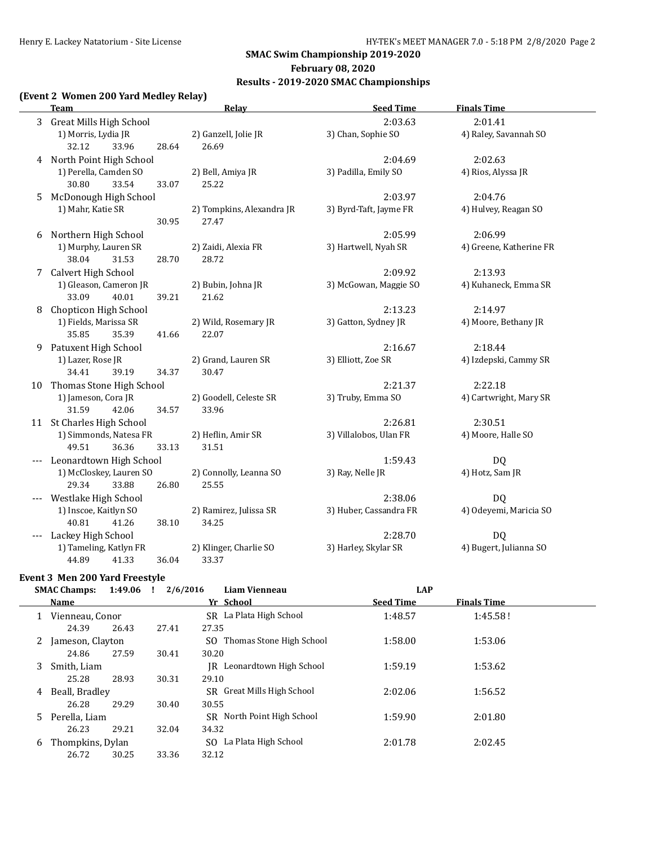### **February 08, 2020**

### **Results - 2019-2020 SMAC Championships**

### **(Event 2 Women 200 Yard Medley Relay)**

|                | <b>Team</b>                    | Relay                     | <b>Seed Time</b>       | <b>Finals Time</b>      |
|----------------|--------------------------------|---------------------------|------------------------|-------------------------|
| $\overline{3}$ | <b>Great Mills High School</b> |                           | 2:03.63                | 2:01.41                 |
|                | 1) Morris, Lydia JR            | 2) Ganzell, Jolie JR      | 3) Chan, Sophie SO     | 4) Raley, Savannah SO   |
|                | 32.12<br>33.96<br>28.64        | 26.69                     |                        |                         |
|                | 4 North Point High School      |                           | 2:04.69                | 2:02.63                 |
|                | 1) Perella, Camden SO          | 2) Bell, Amiya JR         | 3) Padilla, Emily SO   | 4) Rios, Alyssa JR      |
|                | 30.80<br>33.54<br>33.07        | 25.22                     |                        |                         |
| 5              | McDonough High School          |                           | 2:03.97                | 2:04.76                 |
|                | 1) Mahr, Katie SR              | 2) Tompkins, Alexandra JR | 3) Byrd-Taft, Jayme FR | 4) Hulvey, Reagan SO    |
|                | 30.95                          | 27.47                     |                        |                         |
| 6              | Northern High School           |                           | 2:05.99                | 2:06.99                 |
|                | 1) Murphy, Lauren SR           | 2) Zaidi, Alexia FR       | 3) Hartwell, Nyah SR   | 4) Greene, Katherine FR |
|                | 38.04<br>31.53<br>28.70        | 28.72                     |                        |                         |
| 7              | Calvert High School            |                           | 2:09.92                | 2:13.93                 |
|                | 1) Gleason, Cameron JR         | 2) Bubin, Johna JR        | 3) McGowan, Maggie SO  | 4) Kuhaneck, Emma SR    |
|                | 33.09<br>40.01<br>39.21        | 21.62                     |                        |                         |
| 8              | Chopticon High School          |                           | 2:13.23                | 2:14.97                 |
|                | 1) Fields, Marissa SR          | 2) Wild, Rosemary JR      | 3) Gatton, Sydney JR   | 4) Moore, Bethany JR    |
|                | 35.85<br>35.39<br>41.66        | 22.07                     |                        |                         |
| 9              | Patuxent High School           |                           | 2:16.67                | 2:18.44                 |
|                | 1) Lazer, Rose JR              | 2) Grand, Lauren SR       | 3) Elliott, Zoe SR     | 4) Izdepski, Cammy SR   |
|                | 34.41<br>39.19<br>34.37        | 30.47                     |                        |                         |
| 10             | Thomas Stone High School       |                           | 2:21.37                | 2:22.18                 |
|                | 1) Jameson, Cora JR            | 2) Goodell, Celeste SR    | 3) Truby, Emma SO      | 4) Cartwright, Mary SR  |
|                | 31.59<br>42.06<br>34.57        | 33.96                     |                        |                         |
|                | 11 St Charles High School      |                           | 2:26.81                | 2:30.51                 |
|                | 1) Simmonds, Natesa FR         | 2) Heflin, Amir SR        | 3) Villalobos, Ulan FR | 4) Moore, Halle SO      |
|                | 49.51<br>36.36<br>33.13        | 31.51                     |                        |                         |
|                | Leonardtown High School        |                           | 1:59.43                | DQ                      |
|                | 1) McCloskey, Lauren SO        | 2) Connolly, Leanna SO    | 3) Ray, Nelle JR       | 4) Hotz, Sam JR         |
|                | 29.34<br>33.88<br>26.80        | 25.55                     |                        |                         |
|                | Westlake High School           |                           | 2:38.06                | DQ                      |
|                | 1) Inscoe, Kaitlyn SO          | 2) Ramirez, Julissa SR    | 3) Huber, Cassandra FR | 4) Odeyemi, Maricia SO  |
|                | 40.81<br>41.26<br>38.10        | 34.25                     |                        |                         |
| $---$          | Lackey High School             |                           | 2:28.70                | DQ                      |
|                | 1) Tameling, Katlyn FR         | 2) Klinger, Charlie SO    | 3) Harley, Skylar SR   | 4) Bugert, Julianna SO  |
|                | 44.89<br>41.33<br>36.04        | 33.37                     |                        |                         |

### **Event 3 Men 200 Yard Freestyle**

|   | <b>SMAC Champs:</b> | 1:49.06 ! | 2/6/2016 | Liam Vienneau                 | <b>LAP</b>       |                    |
|---|---------------------|-----------|----------|-------------------------------|------------------|--------------------|
|   | Name                |           |          | Yr School                     | <b>Seed Time</b> | <b>Finals Time</b> |
|   | Vienneau, Conor     |           |          | SR La Plata High School       | 1:48.57          | 1:45.58!           |
|   | 24.39               | 26.43     | 27.41    | 27.35                         |                  |                    |
|   | Jameson, Clayton    |           |          | SO Thomas Stone High School   | 1:58.00          | 1:53.06            |
|   | 24.86               | 27.59     | 30.41    | 30.20                         |                  |                    |
| 3 | Smith, Liam         |           |          | Leonardtown High School<br>IR | 1:59.19          | 1:53.62            |
|   | 25.28               | 28.93     | 30.31    | 29.10                         |                  |                    |
| 4 | Beall, Bradley      |           |          | SR Great Mills High School    | 2:02.06          | 1:56.52            |
|   | 26.28               | 29.29     | 30.40    | 30.55                         |                  |                    |
| 5 | Perella, Liam       |           |          | SR North Point High School    | 1:59.90          | 2:01.80            |
|   | 26.23               | 29.21     | 32.04    | 34.32                         |                  |                    |
| 6 | Thompkins, Dylan    |           |          | SO La Plata High School       | 2:01.78          | 2:02.45            |
|   | 26.72               | 30.25     | 33.36    | 32.12                         |                  |                    |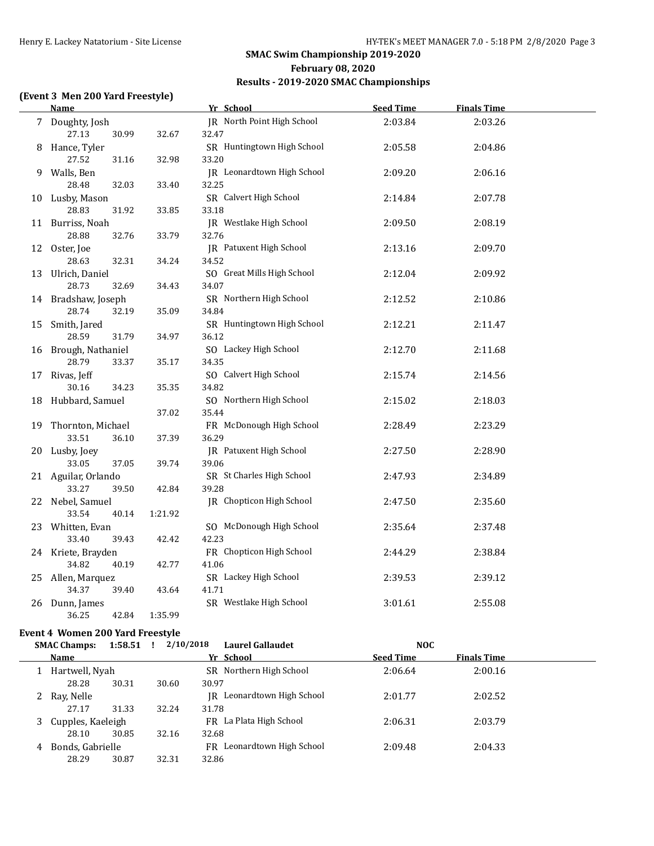# **(Event 3 Men 200 Yard Freestyle)**

| <u>Name</u>                      |         | Yr School                           | <b>Seed Time</b> | <b>Finals Time</b> |  |
|----------------------------------|---------|-------------------------------------|------------------|--------------------|--|
| 7 Doughty, Josh                  |         | JR North Point High School          | 2:03.84          | 2:03.26            |  |
| 27.13<br>30.99<br>8 Hance, Tyler | 32.67   | 32.47<br>SR Huntingtown High School | 2:05.58          | 2:04.86            |  |
| 27.52<br>31.16                   | 32.98   | 33.20                               |                  |                    |  |
| 9 Walls, Ben<br>28.48<br>32.03   | 33.40   | JR Leonardtown High School<br>32.25 | 2:09.20          | 2:06.16            |  |
| 10 Lusby, Mason                  |         | SR Calvert High School              | 2:14.84          | 2:07.78            |  |
| 28.83<br>31.92                   | 33.85   | 33.18                               |                  |                    |  |
| 11 Burriss, Noah                 |         | JR Westlake High School             | 2:09.50          | 2:08.19            |  |
| 28.88<br>32.76                   | 33.79   | 32.76                               |                  |                    |  |
| 12 Oster, Joe                    |         | JR Patuxent High School             | 2:13.16          | 2:09.70            |  |
| 28.63<br>32.31                   | 34.24   | 34.52                               |                  |                    |  |
| 13 Ulrich, Daniel                |         | SO Great Mills High School          | 2:12.04          | 2:09.92            |  |
| 28.73<br>32.69                   | 34.43   | 34.07                               |                  |                    |  |
| 14 Bradshaw, Joseph              |         | SR Northern High School             | 2:12.52          | 2:10.86            |  |
| 28.74<br>32.19                   | 35.09   | 34.84                               |                  |                    |  |
| 15 Smith, Jared                  |         | SR Huntingtown High School          | 2:12.21          | 2:11.47            |  |
| 28.59<br>31.79                   | 34.97   | 36.12                               |                  |                    |  |
| 16 Brough, Nathaniel             |         | SO Lackey High School               | 2:12.70          | 2:11.68            |  |
| 28.79<br>33.37                   | 35.17   | 34.35                               |                  |                    |  |
| 17 Rivas, Jeff                   |         | SO Calvert High School              | 2:15.74          | 2:14.56            |  |
| 30.16<br>34.23                   | 35.35   | 34.82                               |                  |                    |  |
| 18 Hubbard, Samuel               |         | SO Northern High School             | 2:15.02          | 2:18.03            |  |
|                                  | 37.02   | 35.44                               |                  |                    |  |
| 19 Thornton, Michael             |         | FR McDonough High School            | 2:28.49          | 2:23.29            |  |
| 33.51<br>36.10                   | 37.39   | 36.29                               |                  |                    |  |
| 20 Lusby, Joey                   |         | JR Patuxent High School             | 2:27.50          | 2:28.90            |  |
| 33.05<br>37.05                   | 39.74   | 39.06                               |                  |                    |  |
| 21 Aguilar, Orlando              |         | SR St Charles High School           | 2:47.93          | 2:34.89            |  |
| 33.27<br>39.50                   | 42.84   | 39.28                               |                  |                    |  |
| 22 Nebel, Samuel                 |         | JR Chopticon High School            | 2:47.50          | 2:35.60            |  |
| 33.54<br>40.14                   | 1:21.92 |                                     |                  |                    |  |
| 23 Whitten, Evan                 |         | SO McDonough High School            | 2:35.64          | 2:37.48            |  |
| 33.40<br>39.43                   | 42.42   | 42.23                               |                  |                    |  |
| 24 Kriete, Brayden               |         | FR Chopticon High School            | 2:44.29          | 2:38.84            |  |
| 34.82<br>40.19                   | 42.77   | 41.06                               |                  |                    |  |
| 25 Allen, Marquez                |         | SR Lackey High School               | 2:39.53          | 2:39.12            |  |
| 34.37<br>39.40                   | 43.64   | 41.71                               |                  |                    |  |
| 26 Dunn, James                   |         | SR Westlake High School             | 3:01.61          | 2:55.08            |  |
| 36.25<br>42.84                   | 1:35.99 |                                     |                  |                    |  |

### **Event 4 Women 200 Yard Freestyle**

|  |  | SMAC Champs: $1:58.51$ ! $2/10/2018$ Laurel Gallaudet | NOC |  |
|--|--|-------------------------------------------------------|-----|--|
|  |  |                                                       |     |  |

| Name                   |       |       | Yr School                  | <b>Seed Time</b> | <b>Finals Time</b> |  |
|------------------------|-------|-------|----------------------------|------------------|--------------------|--|
| Hartwell, Nyah         |       |       | SR Northern High School    | 2:06.64          | 2:00.16            |  |
| 28.28                  | 30.31 | 30.60 | 30.97                      |                  |                    |  |
| 2 Ray, Nelle           |       |       | IR Leonardtown High School | 2:01.77          | 2:02.52            |  |
| 27.17                  | 31.33 | 32.24 | 31.78                      |                  |                    |  |
| Cupples, Kaeleigh<br>3 |       |       | FR La Plata High School    | 2:06.31          | 2:03.79            |  |
| 28.10                  | 30.85 | 32.16 | 32.68                      |                  |                    |  |
| Bonds, Gabrielle<br>4  |       |       | FR Leonardtown High School | 2:09.48          | 2:04.33            |  |
| 28.29                  | 30.87 | 32.31 | 32.86                      |                  |                    |  |
|                        |       |       |                            |                  |                    |  |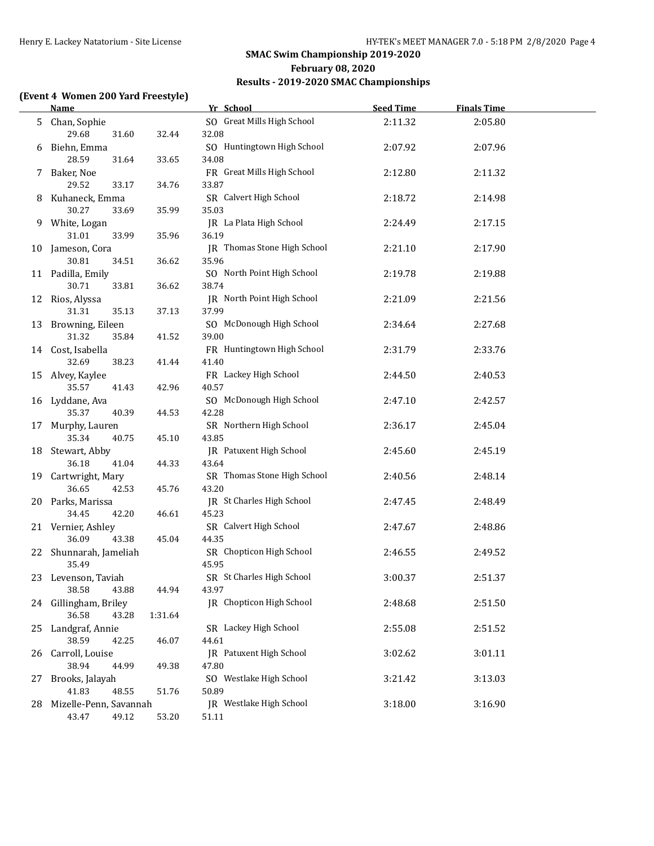### **(Event 4 Women 200 Yard Freestyle)**

|    | <b>Name</b>                        |         | Yr School                        | <b>Seed Time</b> | <b>Finals Time</b> |  |
|----|------------------------------------|---------|----------------------------------|------------------|--------------------|--|
|    | 5 Chan, Sophie                     |         | SO Great Mills High School       | 2:11.32          | 2:05.80            |  |
|    | 29.68<br>31.60                     | 32.44   | 32.08                            |                  |                    |  |
|    | 6 Biehn, Emma                      |         | SO Huntingtown High School       | 2:07.92          | 2:07.96            |  |
|    | 28.59<br>31.64                     | 33.65   | 34.08                            |                  |                    |  |
|    | 7 Baker, Noe                       |         | FR Great Mills High School       | 2:12.80          | 2:11.32            |  |
|    | 29.52<br>33.17                     | 34.76   | 33.87                            |                  |                    |  |
|    | 8 Kuhaneck, Emma                   |         | SR Calvert High School           | 2:18.72          | 2:14.98            |  |
|    | 30.27<br>33.69                     | 35.99   | 35.03                            |                  |                    |  |
|    | 9 White, Logan                     |         | JR La Plata High School          | 2:24.49          | 2:17.15            |  |
|    | 31.01<br>33.99                     | 35.96   | 36.19                            |                  |                    |  |
|    | 10 Jameson, Cora                   |         | JR Thomas Stone High School      | 2:21.10          | 2:17.90            |  |
|    | 30.81<br>34.51                     | 36.62   | 35.96                            |                  |                    |  |
|    | 11 Padilla, Emily                  |         | SO North Point High School       | 2:19.78          | 2:19.88            |  |
|    | 30.71<br>33.81                     | 36.62   | 38.74                            |                  |                    |  |
|    | 12 Rios, Alyssa                    |         | JR North Point High School       | 2:21.09          | 2:21.56            |  |
|    | 31.31<br>35.13                     | 37.13   | 37.99                            |                  |                    |  |
|    | 13 Browning, Eileen                |         | SO McDonough High School         | 2:34.64          | 2:27.68            |  |
|    | 31.32<br>35.84                     | 41.52   | 39.00                            |                  |                    |  |
|    | 14 Cost, Isabella                  |         | FR Huntingtown High School       | 2:31.79          | 2:33.76            |  |
|    | 32.69<br>38.23                     | 41.44   | 41.40                            |                  |                    |  |
|    | 15 Alvey, Kaylee<br>35.57<br>41.43 | 42.96   | FR Lackey High School<br>40.57   | 2:44.50          | 2:40.53            |  |
|    | 16 Lyddane, Ava                    |         | SO McDonough High School         | 2:47.10          | 2:42.57            |  |
|    | 35.37<br>40.39                     | 44.53   | 42.28                            |                  |                    |  |
|    | 17 Murphy, Lauren                  |         | SR Northern High School          | 2:36.17          | 2:45.04            |  |
|    | 35.34<br>40.75                     | 45.10   | 43.85                            |                  |                    |  |
|    | 18 Stewart, Abby                   |         | JR Patuxent High School          | 2:45.60          | 2:45.19            |  |
|    | 36.18<br>41.04                     | 44.33   | 43.64                            |                  |                    |  |
|    | 19 Cartwright, Mary                |         | SR Thomas Stone High School      | 2:40.56          | 2:48.14            |  |
|    | 36.65<br>42.53                     | 45.76   | 43.20                            |                  |                    |  |
|    | 20 Parks, Marissa                  |         | JR St Charles High School        | 2:47.45          | 2:48.49            |  |
|    | 34.45<br>42.20                     | 46.61   | 45.23                            |                  |                    |  |
|    | 21 Vernier, Ashley                 |         | SR Calvert High School           | 2:47.67          | 2:48.86            |  |
|    | 36.09<br>43.38                     | 45.04   | 44.35                            |                  |                    |  |
|    | 22 Shunnarah, Jameliah             |         | SR Chopticon High School         | 2:46.55          | 2:49.52            |  |
|    | 35.49                              |         | 45.95                            |                  |                    |  |
|    | 23 Levenson, Taviah                |         | SR St Charles High School        | 3:00.37          | 2:51.37            |  |
|    | 38.58<br>43.88                     | 44.94   | 43.97                            |                  |                    |  |
|    | 24 Gillingham, Briley              |         | IR Chopticon High School         | 2:48.68          | 2:51.50            |  |
|    | 36.58<br>43.28                     | 1:31.64 |                                  |                  |                    |  |
| 25 | Landgraf, Annie                    |         | SR Lackey High School            | 2:55.08          | 2:51.52            |  |
|    | 38.59<br>42.25                     | 46.07   | 44.61                            |                  |                    |  |
| 26 | Carroll, Louise                    |         | JR Patuxent High School          | 3:02.62          | 3:01.11            |  |
|    | 38.94<br>44.99                     | 49.38   | 47.80                            |                  |                    |  |
| 27 | Brooks, Jalayah<br>41.83<br>48.55  | 51.76   | SO Westlake High School<br>50.89 | 3:21.42          | 3:13.03            |  |
|    | 28 Mizelle-Penn, Savannah          |         | IR Westlake High School          | 3:18.00          | 3:16.90            |  |
|    | 43.47<br>49.12                     | 53.20   | 51.11                            |                  |                    |  |
|    |                                    |         |                                  |                  |                    |  |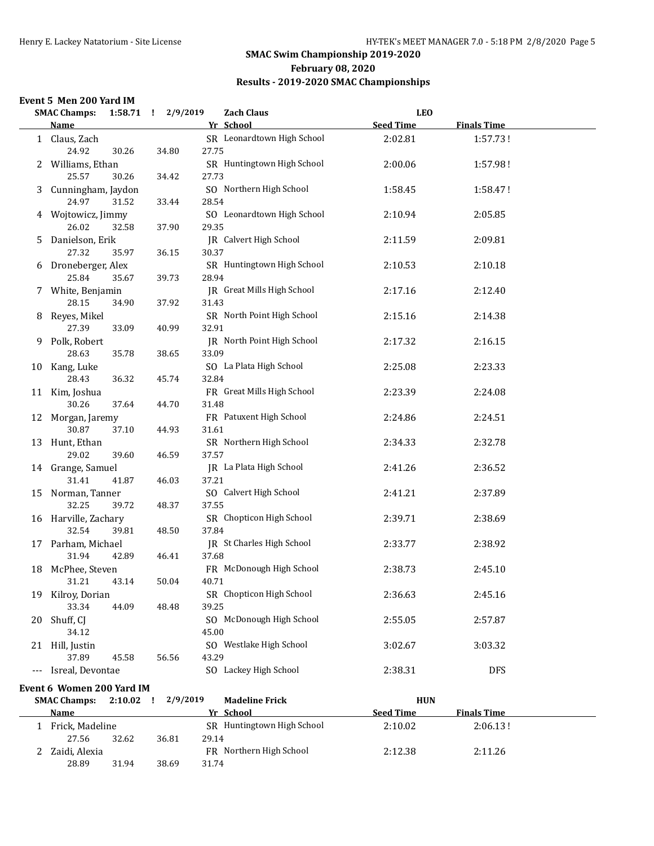# **SMAC Swim Championship 2019-2020 February 08, 2020**

# **Results - 2019-2020 SMAC Championships**

### **Event 5 Men 200 Yard IM**

|    | <b>SMAC Champs:</b>           |             | 1:58.71 ! 2/9/2019 | <b>Zach Claus</b>                      | <b>LEO</b>       |                    |  |
|----|-------------------------------|-------------|--------------------|----------------------------------------|------------------|--------------------|--|
|    | <b>Name</b>                   |             |                    | Yr School                              | <b>Seed Time</b> | <b>Finals Time</b> |  |
|    | 1 Claus, Zach<br>24.92        | 30.26       | 34.80              | SR Leonardtown High School<br>27.75    | 2:02.81          | 1:57.73!           |  |
|    | 2 Williams, Ethan<br>25.57    | 30.26       | 34.42              | SR Huntingtown High School<br>27.73    | 2:00.06          | 1:57.98!           |  |
|    | 3 Cunningham, Jaydon<br>24.97 | 31.52       | 33.44              | SO Northern High School<br>28.54       | 1:58.45          | 1:58.47!           |  |
|    | 4 Wojtowicz, Jimmy<br>26.02   | 32.58       | 37.90              | SO Leonardtown High School<br>29.35    | 2:10.94          | 2:05.85            |  |
| 5  | Danielson, Erik<br>27.32      | 35.97       | 36.15              | <b>IR</b> Calvert High School<br>30.37 | 2:11.59          | 2:09.81            |  |
|    | 6 Droneberger, Alex<br>25.84  | 35.67       | 39.73              | SR Huntingtown High School<br>28.94    | 2:10.53          | 2:10.18            |  |
|    | 7 White, Benjamin<br>28.15    | 34.90       | 37.92              | JR Great Mills High School<br>31.43    | 2:17.16          | 2:12.40            |  |
| 8  | Reyes, Mikel<br>27.39         | 33.09       | 40.99              | SR North Point High School<br>32.91    | 2:15.16          | 2:14.38            |  |
|    | 9 Polk, Robert<br>28.63       | 35.78       | 38.65              | JR North Point High School<br>33.09    | 2:17.32          | 2:16.15            |  |
|    | 10 Kang, Luke<br>28.43        | 36.32       | 45.74              | SO La Plata High School<br>32.84       | 2:25.08          | 2:23.33            |  |
|    | 11 Kim, Joshua<br>30.26       | 37.64       | 44.70              | FR Great Mills High School<br>31.48    | 2:23.39          | 2:24.08            |  |
|    | 12 Morgan, Jaremy<br>30.87    | 37.10       | 44.93              | FR Patuxent High School<br>31.61       | 2:24.86          | 2:24.51            |  |
|    | 13 Hunt, Ethan<br>29.02       | 39.60       | 46.59              | SR Northern High School<br>37.57       | 2:34.33          | 2:32.78            |  |
|    | 14 Grange, Samuel<br>31.41    | 41.87       | 46.03              | JR La Plata High School<br>37.21       | 2:41.26          | 2:36.52            |  |
|    | 15 Norman, Tanner<br>32.25    | 39.72       | 48.37              | SO Calvert High School<br>37.55        | 2:41.21          | 2:37.89            |  |
|    | 16 Harville, Zachary<br>32.54 | 39.81       | 48.50              | SR Chopticon High School<br>37.84      | 2:39.71          | 2:38.69            |  |
|    | 17 Parham, Michael<br>31.94   | 42.89       | 46.41              | JR St Charles High School<br>37.68     | 2:33.77          | 2:38.92            |  |
| 18 | McPhee, Steven<br>31.21       | 43.14       | 50.04              | FR McDonough High School<br>40.71      | 2:38.73          | 2:45.10            |  |
|    | 19 Kilroy, Dorian<br>33.34    | 44.09       | 48.48              | SR Chopticon High School<br>39.25      | 2:36.63          | 2:45.16            |  |
| 20 | Shuff, CJ<br>34.12            |             |                    | SO McDonough High School<br>45.00      | 2:55.05          | 2:57.87            |  |
|    | 21 Hill, Justin<br>37.89      | 45.58       | 56.56              | SO Westlake High School<br>43.29       | 3:02.67          | 3:03.32            |  |
|    | Isreal, Devontae              |             |                    | SO Lackey High School                  | 2:38.31          | <b>DFS</b>         |  |
|    | Event 6 Women 200 Yard IM     |             |                    |                                        |                  |                    |  |
|    | <b>SMAC Champs:</b>           | $2:10.02$ ! | 2/9/2019           | <b>Madeline Frick</b>                  | <b>HUN</b>       |                    |  |
|    | <b>Name</b>                   |             |                    | Yr School                              | <b>Seed Time</b> | <b>Finals Time</b> |  |
|    | 1 Frick, Madeline<br>27.56    | 32.62       | 36.81              | SR Huntingtown High School<br>29.14    | 2:10.02          | 2:06.13!           |  |
| 2  | Zaidi, Alexia<br>28.89        | 31.94       | 38.69              | FR Northern High School<br>31.74       | 2:12.38          | 2:11.26            |  |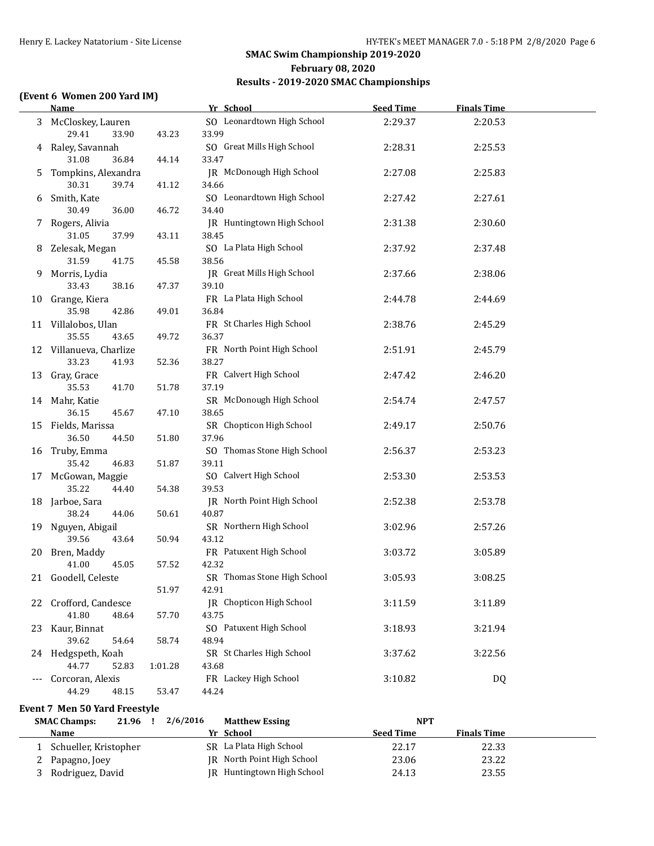### **(Event 6 Women 200 Yard IM)**

|    | <b>Name</b>                          |         | Yr School                         | <b>Seed Time</b> | <b>Finals Time</b> |  |
|----|--------------------------------------|---------|-----------------------------------|------------------|--------------------|--|
|    | 3 McCloskey, Lauren                  |         | SO Leonardtown High School        | 2:29.37          | 2:20.53            |  |
|    | 29.41<br>33.90                       | 43.23   | 33.99                             |                  |                    |  |
|    | 4 Raley, Savannah                    |         | SO Great Mills High School        | 2:28.31          | 2:25.53            |  |
|    | 31.08<br>36.84                       | 44.14   | 33.47                             |                  |                    |  |
| 5. | Tompkins, Alexandra                  |         | JR McDonough High School          | 2:27.08          | 2:25.83            |  |
|    | 30.31<br>39.74                       | 41.12   | 34.66                             |                  |                    |  |
|    | 6 Smith, Kate                        |         | SO Leonardtown High School        | 2:27.42          | 2:27.61            |  |
|    | 30.49<br>36.00                       | 46.72   | 34.40                             |                  |                    |  |
|    | 7 Rogers, Alivia                     |         | JR Huntingtown High School        | 2:31.38          | 2:30.60            |  |
|    | 31.05<br>37.99                       | 43.11   | 38.45                             |                  |                    |  |
|    | 8 Zelesak, Megan                     |         | SO La Plata High School           | 2:37.92          | 2:37.48            |  |
|    | 31.59<br>41.75                       | 45.58   | 38.56                             |                  |                    |  |
| 9. | Morris, Lydia                        |         | JR Great Mills High School        | 2:37.66          | 2:38.06            |  |
|    | 33.43<br>38.16                       | 47.37   | 39.10                             |                  |                    |  |
|    | 10 Grange, Kiera                     |         | FR La Plata High School           | 2:44.78          | 2:44.69            |  |
|    | 35.98<br>42.86                       | 49.01   | 36.84                             |                  |                    |  |
|    | 11 Villalobos, Ulan                  |         | FR St Charles High School         | 2:38.76          | 2:45.29            |  |
|    | 35.55<br>43.65                       | 49.72   | 36.37                             |                  |                    |  |
|    | 12 Villanueva, Charlize              |         | FR North Point High School        | 2:51.91          | 2:45.79            |  |
|    | 33.23<br>41.93                       | 52.36   | 38.27                             |                  |                    |  |
|    | 13 Gray, Grace                       |         | FR Calvert High School            | 2:47.42          | 2:46.20            |  |
|    | 35.53<br>41.70                       | 51.78   | 37.19                             |                  |                    |  |
|    | 14 Mahr, Katie                       |         | SR McDonough High School          | 2:54.74          | 2:47.57            |  |
|    | 36.15<br>45.67                       | 47.10   | 38.65                             |                  |                    |  |
|    | 15 Fields, Marissa                   |         | SR Chopticon High School          | 2:49.17          | 2:50.76            |  |
|    | 36.50<br>44.50                       | 51.80   | 37.96                             |                  |                    |  |
|    | 16 Truby, Emma                       |         | SO Thomas Stone High School       | 2:56.37          | 2:53.23            |  |
|    | 35.42<br>46.83                       | 51.87   | 39.11                             |                  |                    |  |
|    |                                      |         | SO Calvert High School            |                  |                    |  |
|    | 17 McGowan, Maggie<br>35.22<br>44.40 | 54.38   | 39.53                             | 2:53.30          | 2:53.53            |  |
|    |                                      |         | JR North Point High School        |                  |                    |  |
|    | 18 Jarboe, Sara<br>38.24<br>44.06    | 50.61   | 40.87                             | 2:52.38          | 2:53.78            |  |
|    |                                      |         | SR Northern High School           |                  |                    |  |
|    | 19 Nguyen, Abigail<br>39.56<br>43.64 | 50.94   | 43.12                             | 3:02.96          | 2:57.26            |  |
|    |                                      |         | FR Patuxent High School           |                  |                    |  |
|    | 20 Bren, Maddy<br>41.00<br>45.05     | 57.52   | 42.32                             | 3:03.72          | 3:05.89            |  |
|    |                                      |         | SR Thomas Stone High School       |                  |                    |  |
|    | 21 Goodell, Celeste                  |         |                                   | 3:05.93          | 3:08.25            |  |
|    |                                      | 51.97   | 42.91<br>IR Chopticon High School |                  |                    |  |
|    | 22 Crofford, Candesce                |         |                                   | 3:11.59          | 3:11.89            |  |
|    | 41.80<br>48.64                       | 57.70   | 43.75                             |                  |                    |  |
|    | 23 Kaur, Binnat                      |         | SO Patuxent High School           | 3:18.93          | 3:21.94            |  |
|    | 39.62<br>54.64                       | 58.74   | 48.94                             |                  |                    |  |
|    | 24 Hedgspeth, Koah                   |         | SR St Charles High School         | 3:37.62          | 3:22.56            |  |
|    | 44.77<br>52.83                       | 1:01.28 | 43.68                             |                  |                    |  |
|    | Corcoran, Alexis                     |         | FR Lackey High School             | 3:10.82          | <b>DQ</b>          |  |
|    | 44.29<br>48.15                       | 53.47   | 44.24                             |                  |                    |  |

### **Event 7 Men 50 Yard Freestyle**

| 21.96<br><b>SMAC Champs:</b> | 2/6/2016 | <b>Matthew Essing</b>      | <b>NPT</b>       |                    |  |
|------------------------------|----------|----------------------------|------------------|--------------------|--|
| <b>Name</b>                  |          | Yr School                  | <b>Seed Time</b> | <b>Finals Time</b> |  |
| Schueller, Kristopher        |          | SR La Plata High School    | 22.17            | 22.33              |  |
| Papagno, Joey                |          | IR North Point High School | 23.06            | 23.22              |  |
| Rodriguez, David             |          | JR Huntingtown High School | 24.13            | 23.55              |  |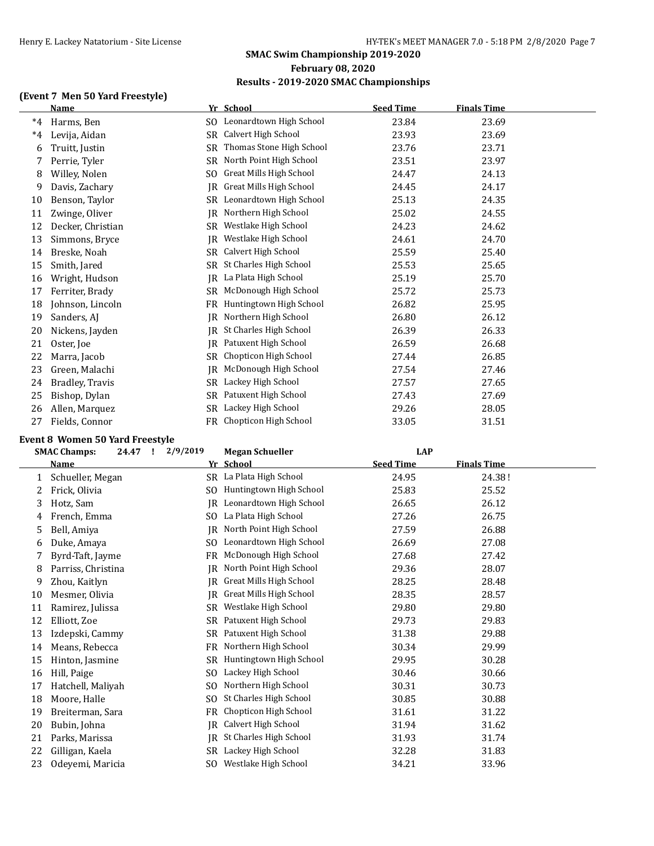### **(Event 7 Men 50 Yard Freestyle)**

|      | <b>Name</b>       |     | Yr School                  | <b>Seed Time</b> | <b>Finals Time</b> |  |
|------|-------------------|-----|----------------------------|------------------|--------------------|--|
| $*4$ | Harms, Ben        |     | SO Leonardtown High School | 23.84            | 23.69              |  |
| $*4$ | Levija, Aidan     | SR. | Calvert High School        | 23.93            | 23.69              |  |
| 6    | Truitt, Justin    | SR. | Thomas Stone High School   | 23.76            | 23.71              |  |
| 7    | Perrie, Tyler     | SR. | North Point High School    | 23.51            | 23.97              |  |
| 8    | Willey, Nolen     | SO. | Great Mills High School    | 24.47            | 24.13              |  |
| 9    | Davis, Zachary    | IR  | Great Mills High School    | 24.45            | 24.17              |  |
| 10   | Benson, Taylor    |     | SR Leonardtown High School | 25.13            | 24.35              |  |
| 11   | Zwinge, Oliver    | IR  | Northern High School       | 25.02            | 24.55              |  |
| 12   | Decker, Christian | SR. | Westlake High School       | 24.23            | 24.62              |  |
| 13   | Simmons, Bryce    | IR  | Westlake High School       | 24.61            | 24.70              |  |
| 14   | Breske, Noah      | SR. | Calvert High School        | 25.59            | 25.40              |  |
| 15   | Smith, Jared      | SR. | St Charles High School     | 25.53            | 25.65              |  |
| 16   | Wright, Hudson    | IR  | La Plata High School       | 25.19            | 25.70              |  |
| 17   | Ferriter, Brady   |     | SR McDonough High School   | 25.72            | 25.73              |  |
| 18   | Johnson, Lincoln  | FR  | Huntingtown High School    | 26.82            | 25.95              |  |
| 19   | Sanders, AJ       | IR  | Northern High School       | 26.80            | 26.12              |  |
| 20   | Nickens, Jayden   | IR. | St Charles High School     | 26.39            | 26.33              |  |
| 21   | Oster, Joe        | IR  | Patuxent High School       | 26.59            | 26.68              |  |
| 22   | Marra, Jacob      | SR. | Chopticon High School      | 27.44            | 26.85              |  |
| 23   | Green, Malachi    | IR  | McDonough High School      | 27.54            | 27.46              |  |
| 24   | Bradley, Travis   | SR. | Lackey High School         | 27.57            | 27.65              |  |
| 25   | Bishop, Dylan     | SR  | Patuxent High School       | 27.43            | 27.69              |  |
| 26   | Allen, Marquez    | SR. | Lackey High School         | 29.26            | 28.05              |  |
| 27   | Fields, Connor    | FR. | Chopticon High School      | 33.05            | 31.51              |  |

### **Event 8 Women 50 Yard Freestyle**

| <b>SMAC Champs:</b> |                    |     |                         |                  |                    |  |
|---------------------|--------------------|-----|-------------------------|------------------|--------------------|--|
|                     | Name               |     | Yr School               | <b>Seed Time</b> | <b>Finals Time</b> |  |
| 1                   | Schueller, Megan   |     | SR La Plata High School | 24.95            | 24.38!             |  |
|                     | Frick, Olivia      | SO. | Huntingtown High School | 25.83            | 25.52              |  |
| 3                   | Hotz, Sam          | IR. | Leonardtown High School | 26.65            | 26.12              |  |
| 4                   | French, Emma       | SO. | La Plata High School    | 27.26            | 26.75              |  |
| 5                   | Bell, Amiya        | IR  | North Point High School | 27.59            | 26.88              |  |
| 6                   | Duke, Amaya        | SO. | Leonardtown High School | 26.69            | 27.08              |  |
| 7                   | Byrd-Taft, Jayme   | FR  | McDonough High School   | 27.68            | 27.42              |  |
| 8                   | Parriss, Christina | IR  | North Point High School | 29.36            | 28.07              |  |
| 9                   | Zhou, Kaitlyn      | IR  | Great Mills High School | 28.25            | 28.48              |  |
| 10                  | Mesmer, Olivia     | IR  | Great Mills High School | 28.35            | 28.57              |  |
| 11                  | Ramirez, Julissa   | SR. | Westlake High School    | 29.80            | 29.80              |  |
| 12                  | Elliott, Zoe       |     | SR Patuxent High School | 29.73            | 29.83              |  |
| 13                  | Izdepski, Cammy    |     | SR Patuxent High School | 31.38            | 29.88              |  |
| 14                  | Means, Rebecca     |     | FR Northern High School | 30.34            | 29.99              |  |
| 15                  | Hinton, Jasmine    | SR. | Huntingtown High School | 29.95            | 30.28              |  |
| 16                  | Hill, Paige        | SO. | Lackey High School      | 30.46            | 30.66              |  |
| 17                  | Hatchell, Maliyah  | SO. | Northern High School    | 30.31            | 30.73              |  |
| 18                  | Moore, Halle       | SO. | St Charles High School  | 30.85            | 30.88              |  |
| 19                  | Breiterman, Sara   | FR  | Chopticon High School   | 31.61            | 31.22              |  |
| 20                  | Bubin, Johna       | IR  | Calvert High School     | 31.94            | 31.62              |  |
| 21                  | Parks, Marissa     | IR  | St Charles High School  | 31.93            | 31.74              |  |
| 22                  | Gilligan, Kaela    | SR. | Lackey High School      | 32.28            | 31.83              |  |
| 23                  | Odeyemi, Maricia   |     | SO Westlake High School | 34.21            | 33.96              |  |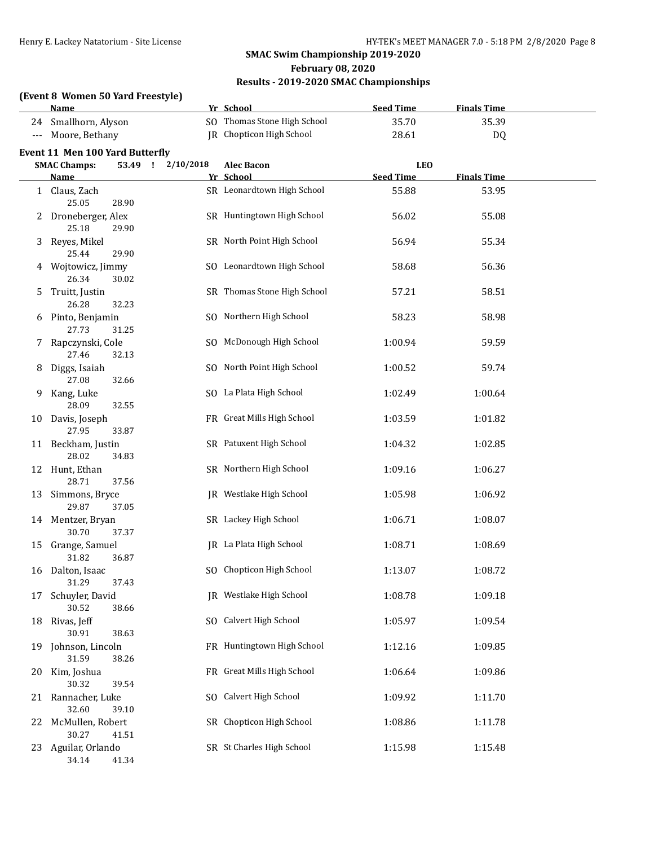### **(Event 8 Women 50 Yard Freestyle)**

|                      | <b>Name</b>                           |           | Yr School                       | <b>Seed Time</b> | <b>Finals Time</b> |  |
|----------------------|---------------------------------------|-----------|---------------------------------|------------------|--------------------|--|
| 24                   | Smallhorn, Alyson                     |           | SO Thomas Stone High School     | 35.70            | 35.39              |  |
| $\scriptstyle\cdots$ | Moore, Bethany                        |           | <b>IR</b> Chopticon High School | 28.61            | DQ                 |  |
|                      | Event 11 Men 100 Yard Butterfly       |           |                                 |                  |                    |  |
|                      | <b>SMAC Champs:</b><br>53.49 !        | 2/10/2018 | <b>Alec Bacon</b>               | <b>LEO</b>       |                    |  |
|                      | <b>Name</b>                           |           | Yr School                       | <b>Seed Time</b> | <b>Finals Time</b> |  |
|                      | 1 Claus, Zach<br>25.05<br>28.90       |           | SR Leonardtown High School      | 55.88            | 53.95              |  |
| 2                    | Droneberger, Alex<br>25.18<br>29.90   |           | SR Huntingtown High School      | 56.02            | 55.08              |  |
| 3                    | Reyes, Mikel<br>25.44<br>29.90        |           | SR North Point High School      | 56.94            | 55.34              |  |
| 4                    | Wojtowicz, Jimmy<br>26.34<br>30.02    |           | SO Leonardtown High School      | 58.68            | 56.36              |  |
| 5                    | Truitt, Justin<br>26.28<br>32.23      |           | SR Thomas Stone High School     | 57.21            | 58.51              |  |
| 6                    | Pinto, Benjamin<br>27.73<br>31.25     |           | SO Northern High School         | 58.23            | 58.98              |  |
| 7                    | Rapczynski, Cole<br>27.46<br>32.13    |           | SO McDonough High School        | 1:00.94          | 59.59              |  |
| 8                    | Diggs, Isaiah<br>27.08<br>32.66       |           | SO North Point High School      | 1:00.52          | 59.74              |  |
| 9                    | Kang, Luke<br>28.09<br>32.55          |           | SO La Plata High School         | 1:02.49          | 1:00.64            |  |
| 10                   | Davis, Joseph<br>27.95<br>33.87       |           | FR Great Mills High School      | 1:03.59          | 1:01.82            |  |
|                      | 11 Beckham, Justin<br>28.02<br>34.83  |           | SR Patuxent High School         | 1:04.32          | 1:02.85            |  |
|                      | 12 Hunt, Ethan<br>28.71<br>37.56      |           | SR Northern High School         | 1:09.16          | 1:06.27            |  |
| 13                   | Simmons, Bryce<br>29.87<br>37.05      |           | JR Westlake High School         | 1:05.98          | 1:06.92            |  |
|                      | 14 Mentzer, Bryan<br>30.70<br>37.37   |           | SR Lackey High School           | 1:06.71          | 1:08.07            |  |
| 15                   | Grange, Samuel<br>31.82<br>36.87      |           | JR La Plata High School         | 1:08.71          | 1:08.69            |  |
|                      | 16 Dalton, Isaac<br>37.43<br>31.29    |           | SO Chopticon High School        | 1:13.07          | 1:08.72            |  |
| 17                   | Schuyler, David<br>30.52<br>38.66     |           | JR Westlake High School         | 1:08.78          | 1:09.18            |  |
|                      | 18 Rivas, Jeff<br>30.91<br>38.63      |           | SO Calvert High School          | 1:05.97          | 1:09.54            |  |
| 19                   | Johnson, Lincoln<br>31.59<br>38.26    |           | FR Huntingtown High School      | 1:12.16          | 1:09.85            |  |
| 20                   | Kim, Joshua<br>30.32<br>39.54         |           | FR Great Mills High School      | 1:06.64          | 1:09.86            |  |
|                      | 21 Rannacher, Luke<br>32.60<br>39.10  |           | SO Calvert High School          | 1:09.92          | 1:11.70            |  |
| 22                   | McMullen, Robert<br>30.27<br>41.51    |           | SR Chopticon High School        | 1:08.86          | 1:11.78            |  |
|                      | 23 Aguilar, Orlando<br>41.34<br>34.14 |           | SR St Charles High School       | 1:15.98          | 1:15.48            |  |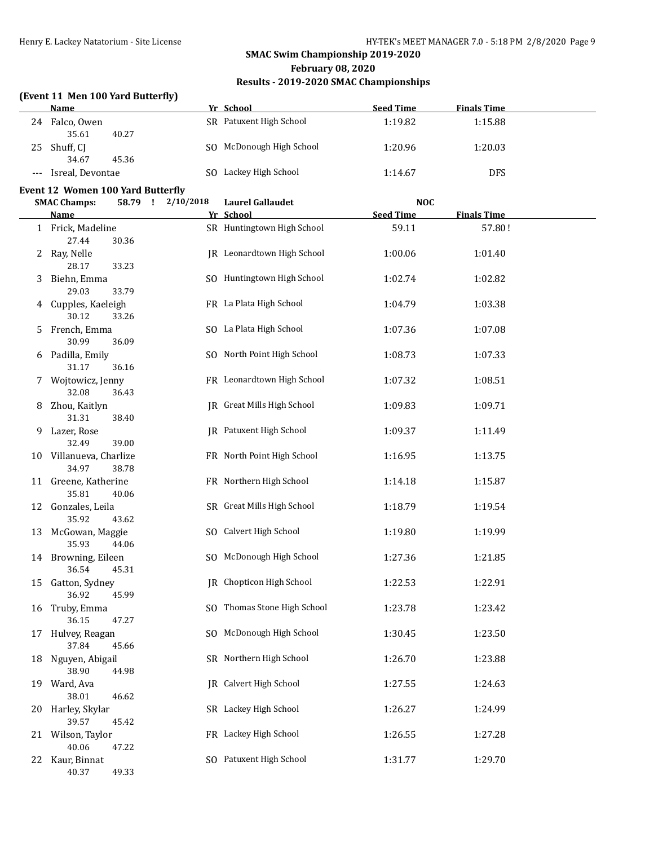### **(Event 11 Men 100 Yard Butterfly)**

|    | <b>Name</b>                               |                   | Yr School                            | <b>Seed Time</b>               | <b>Finals Time</b> |  |
|----|-------------------------------------------|-------------------|--------------------------------------|--------------------------------|--------------------|--|
|    | 24 Falco, Owen<br>35.61<br>40.27          |                   | SR Patuxent High School              | 1:19.82                        | 1:15.88            |  |
|    | 25 Shuff, CJ<br>34.67<br>45.36            |                   | SO McDonough High School             | 1:20.96                        | 1:20.03            |  |
|    | Isreal, Devontae                          |                   | SO Lackey High School                | 1:14.67                        | <b>DFS</b>         |  |
|    | Event 12 Women 100 Yard Butterfly         |                   |                                      |                                |                    |  |
|    | <b>SMAC Champs:</b><br><b>Name</b>        | 58.79 ! 2/10/2018 | <b>Laurel Gallaudet</b><br>Yr School | <b>NOC</b><br><b>Seed Time</b> | <b>Finals Time</b> |  |
|    | 1 Frick, Madeline<br>27.44<br>30.36       |                   | SR Huntingtown High School           | 59.11                          | 57.80!             |  |
|    | 2 Ray, Nelle<br>28.17<br>33.23            |                   | JR Leonardtown High School           | 1:00.06                        | 1:01.40            |  |
| 3. | Biehn, Emma<br>29.03<br>33.79             |                   | SO Huntingtown High School           | 1:02.74                        | 1:02.82            |  |
|    | 4 Cupples, Kaeleigh<br>30.12<br>33.26     |                   | FR La Plata High School              | 1:04.79                        | 1:03.38            |  |
| 5. | French, Emma<br>30.99<br>36.09            |                   | SO La Plata High School              | 1:07.36                        | 1:07.08            |  |
| 6  | Padilla, Emily<br>31.17<br>36.16          |                   | SO North Point High School           | 1:08.73                        | 1:07.33            |  |
| 7  | Wojtowicz, Jenny<br>32.08<br>36.43        |                   | FR Leonardtown High School           | 1:07.32                        | 1:08.51            |  |
| 8  | Zhou, Kaitlyn<br>31.31<br>38.40           |                   | JR Great Mills High School           | 1:09.83                        | 1:09.71            |  |
| 9. | Lazer, Rose<br>32.49<br>39.00             |                   | JR Patuxent High School              | 1:09.37                        | 1:11.49            |  |
|    | 10 Villanueva, Charlize<br>34.97<br>38.78 |                   | FR North Point High School           | 1:16.95                        | 1:13.75            |  |
|    | 11 Greene, Katherine<br>35.81<br>40.06    |                   | FR Northern High School              | 1:14.18                        | 1:15.87            |  |
|    | 12 Gonzales, Leila<br>35.92<br>43.62      |                   | SR Great Mills High School           | 1:18.79                        | 1:19.54            |  |
|    | 13 McGowan, Maggie<br>35.93<br>44.06      |                   | SO Calvert High School               | 1:19.80                        | 1:19.99            |  |
|    | 14 Browning, Eileen<br>36.54<br>45.31     |                   | SO McDonough High School             | 1:27.36                        | 1:21.85            |  |
|    | 15 Gatton, Sydney<br>36.92<br>45.99       |                   | JR Chopticon High School             | 1:22.53                        | 1:22.91            |  |
| 16 | Truby, Emma<br>36.15<br>47.27             |                   | SO Thomas Stone High School          | 1:23.78                        | 1:23.42            |  |
| 17 | Hulvey, Reagan<br>37.84<br>45.66          |                   | SO McDonough High School             | 1:30.45                        | 1:23.50            |  |
| 18 | Nguyen, Abigail<br>38.90<br>44.98         |                   | SR Northern High School              | 1:26.70                        | 1:23.88            |  |
|    | 19 Ward, Ava<br>38.01<br>46.62            |                   | <b>IR</b> Calvert High School        | 1:27.55                        | 1:24.63            |  |
|    | 20 Harley, Skylar<br>39.57<br>45.42       |                   | SR Lackey High School                | 1:26.27                        | 1:24.99            |  |
|    | 21 Wilson, Taylor<br>40.06<br>47.22       |                   | FR Lackey High School                | 1:26.55                        | 1:27.28            |  |
|    | 22 Kaur, Binnat<br>40.37<br>49.33         |                   | SO Patuxent High School              | 1:31.77                        | 1:29.70            |  |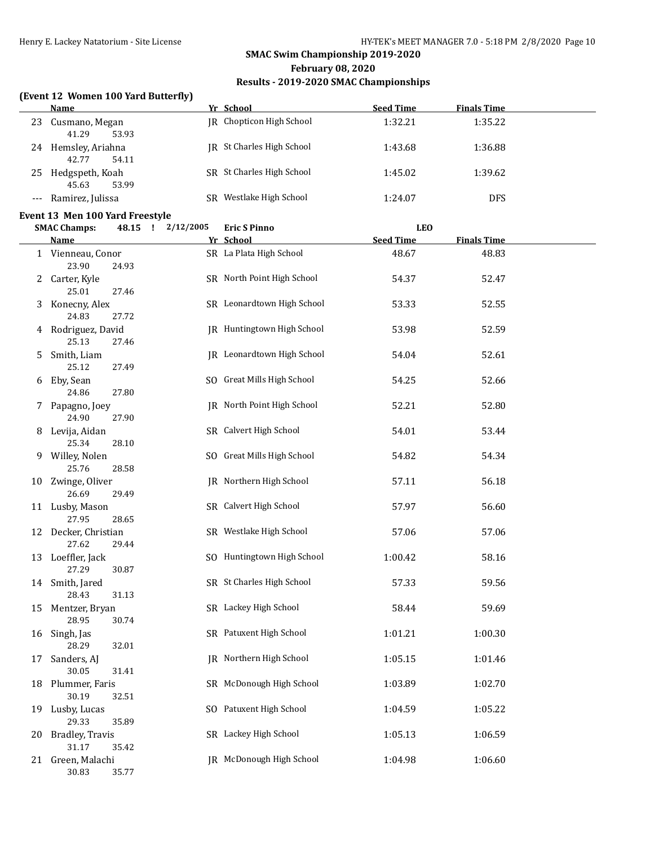### **(Event 12 Women 100 Yard Butterfly)**

|    | <b>Name</b>                              | Yr School                  | <b>Seed Time</b> | <b>Finals Time</b> |  |
|----|------------------------------------------|----------------------------|------------------|--------------------|--|
|    | 23 Cusmano, Megan<br>41.29<br>53.93      | JR Chopticon High School   | 1:32.21          | 1:35.22            |  |
|    | 24 Hemsley, Ariahna<br>42.77<br>54.11    | JR St Charles High School  | 1:43.68          | 1:36.88            |  |
|    | 25 Hedgspeth, Koah<br>45.63<br>53.99     | SR St Charles High School  | 1:45.02          | 1:39.62            |  |
|    | --- Ramirez, Julissa                     | SR Westlake High School    | 1:24.07          | <b>DFS</b>         |  |
|    | Event 13 Men 100 Yard Freestyle          |                            |                  |                    |  |
|    | <b>SMAC Champs:</b><br>48.15 ! 2/12/2005 | <b>Eric S Pinno</b>        | <b>LEO</b>       |                    |  |
|    | <b>Name</b>                              | Yr School                  | <b>Seed Time</b> | <b>Finals Time</b> |  |
|    | 1 Vienneau, Conor<br>23.90<br>24.93      | SR La Plata High School    | 48.67            | 48.83              |  |
| 2  | Carter, Kyle<br>25.01<br>27.46           | SR North Point High School | 54.37            | 52.47              |  |
| 3  | Konecny, Alex<br>24.83<br>27.72          | SR Leonardtown High School | 53.33            | 52.55              |  |
| 4  | Rodriguez, David<br>25.13<br>27.46       | JR Huntingtown High School | 53.98            | 52.59              |  |
| 5. | Smith, Liam<br>25.12<br>27.49            | JR Leonardtown High School | 54.04            | 52.61              |  |
| 6  | Eby, Sean<br>24.86<br>27.80              | SO Great Mills High School | 54.25            | 52.66              |  |
|    | Papagno, Joey<br>24.90<br>27.90          | JR North Point High School | 52.21            | 52.80              |  |
| 8  | Levija, Aidan<br>25.34<br>28.10          | SR Calvert High School     | 54.01            | 53.44              |  |
| 9. | Willey, Nolen<br>25.76<br>28.58          | SO Great Mills High School | 54.82            | 54.34              |  |
|    | 10 Zwinge, Oliver<br>26.69<br>29.49      | JR Northern High School    | 57.11            | 56.18              |  |
|    | 11 Lusby, Mason<br>27.95<br>28.65        | SR Calvert High School     | 57.97            | 56.60              |  |
|    | 12 Decker, Christian<br>27.62<br>29.44   | SR Westlake High School    | 57.06            | 57.06              |  |
|    | 13 Loeffler, Jack<br>27.29<br>30.87      | SO Huntingtown High School | 1:00.42          | 58.16              |  |
|    | 14 Smith, Jared<br>28.43<br>31.13        | SR St Charles High School  | 57.33            | 59.56              |  |
| 15 | Mentzer, Bryan<br>28.95<br>30.74         | SR Lackey High School      | 58.44            | 59.69              |  |
| 16 | Singh, Jas<br>28.29<br>32.01             | SR Patuxent High School    | 1:01.21          | 1:00.30            |  |
| 17 | Sanders, AJ<br>30.05<br>31.41            | JR Northern High School    | 1:05.15          | 1:01.46            |  |
| 18 | Plummer, Faris<br>30.19<br>32.51         | SR McDonough High School   | 1:03.89          | 1:02.70            |  |
| 19 | Lusby, Lucas<br>29.33<br>35.89           | SO Patuxent High School    | 1:04.59          | 1:05.22            |  |
| 20 | Bradley, Travis<br>31.17<br>35.42        | SR Lackey High School      | 1:05.13          | 1:06.59            |  |
| 21 | Green, Malachi<br>30.83<br>35.77         | JR McDonough High School   | 1:04.98          | 1:06.60            |  |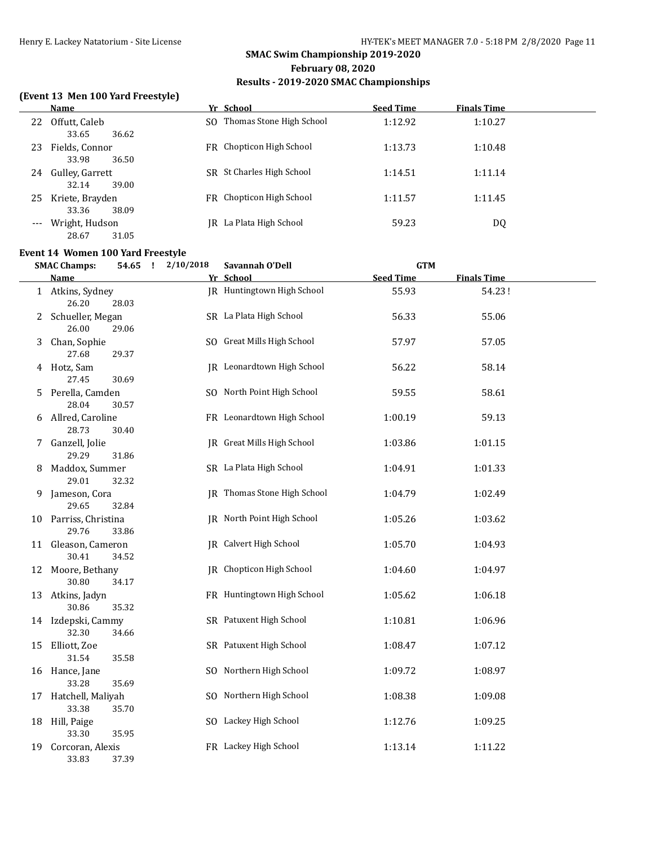# **SMAC Swim Championship 2019-2020 February 08, 2020**

# **Results - 2019-2020 SMAC Championships**

### **(Event 13 Men 100 Yard Freestyle)**

|    | Name                              | Yr School                   | <b>Seed Time</b> | <b>Finals Time</b> |  |
|----|-----------------------------------|-----------------------------|------------------|--------------------|--|
| 22 | Offutt, Caleb<br>33.65<br>36.62   | SO Thomas Stone High School | 1:12.92          | 1:10.27            |  |
| 23 | Fields, Connor                    | FR Chopticon High School    | 1:13.73          | 1:10.48            |  |
| 24 | 33.98<br>36.50<br>Gulley, Garrett | SR St Charles High School   | 1:14.51          | 1:11.14            |  |
| 25 | 39.00<br>32.14<br>Kriete, Brayden | FR Chopticon High School    | 1:11.57          | 1:11.45            |  |
|    | 33.36<br>38.09<br>Wright, Hudson  | IR La Plata High School     | 59.23            | DQ                 |  |
|    | 28.67<br>31.05                    |                             |                  |                    |  |

### **Event 14 Women 100 Yard Freestyle**

|    | <b>SMAC Champs:</b>            | 54.65 ! | 2/10/2018 | Savannah O'Dell                   | <b>GTM</b>       |                    |  |
|----|--------------------------------|---------|-----------|-----------------------------------|------------------|--------------------|--|
|    | Name                           |         |           | Yr School                         | <b>Seed Time</b> | <b>Finals Time</b> |  |
|    | 1 Atkins, Sydney<br>26.20      | 28.03   |           | IR Huntingtown High School        | 55.93            | 54.23!             |  |
|    | 2 Schueller, Megan<br>26.00    | 29.06   |           | SR La Plata High School           | 56.33            | 55.06              |  |
|    | 3 Chan, Sophie<br>27.68        | 29.37   |           | SO Great Mills High School        | 57.97            | 57.05              |  |
|    | 4 Hotz, Sam<br>27.45           | 30.69   |           | JR Leonardtown High School        | 56.22            | 58.14              |  |
|    | 5 Perella, Camden<br>28.04     | 30.57   |           | SO North Point High School        | 59.55            | 58.61              |  |
|    | 6 Allred, Caroline<br>28.73    | 30.40   |           | FR Leonardtown High School        | 1:00.19          | 59.13              |  |
|    | 7 Ganzell, Jolie<br>29.29      | 31.86   |           | <b>IR</b> Great Mills High School | 1:03.86          | 1:01.15            |  |
| 8  | Maddox, Summer<br>29.01        | 32.32   |           | SR La Plata High School           | 1:04.91          | 1:01.33            |  |
| 9. | Jameson, Cora<br>29.65         | 32.84   |           | JR Thomas Stone High School       | 1:04.79          | 1:02.49            |  |
|    | 10 Parriss, Christina<br>29.76 | 33.86   |           | JR North Point High School        | 1:05.26          | 1:03.62            |  |
|    | 11 Gleason, Cameron<br>30.41   | 34.52   |           | <b>IR</b> Calvert High School     | 1:05.70          | 1:04.93            |  |
|    | 12 Moore, Bethany<br>30.80     | 34.17   |           | <b>IR</b> Chopticon High School   | 1:04.60          | 1:04.97            |  |
|    | 13 Atkins, Jadyn<br>30.86      | 35.32   |           | FR Huntingtown High School        | 1:05.62          | 1:06.18            |  |
|    | 14 Izdepski, Cammy<br>32.30    | 34.66   |           | SR Patuxent High School           | 1:10.81          | 1:06.96            |  |
| 15 | Elliott, Zoe<br>31.54          | 35.58   |           | SR Patuxent High School           | 1:08.47          | 1:07.12            |  |
|    | 16 Hance, Jane<br>33.28        | 35.69   |           | SO Northern High School           | 1:09.72          | 1:08.97            |  |
| 17 | Hatchell, Maliyah<br>33.38     | 35.70   |           | SO Northern High School           | 1:08.38          | 1:09.08            |  |
| 18 | Hill, Paige<br>33.30           | 35.95   |           | SO Lackey High School             | 1:12.76          | 1:09.25            |  |
| 19 | Corcoran, Alexis<br>33.83      | 37.39   |           | FR Lackey High School             | 1:13.14          | 1:11.22            |  |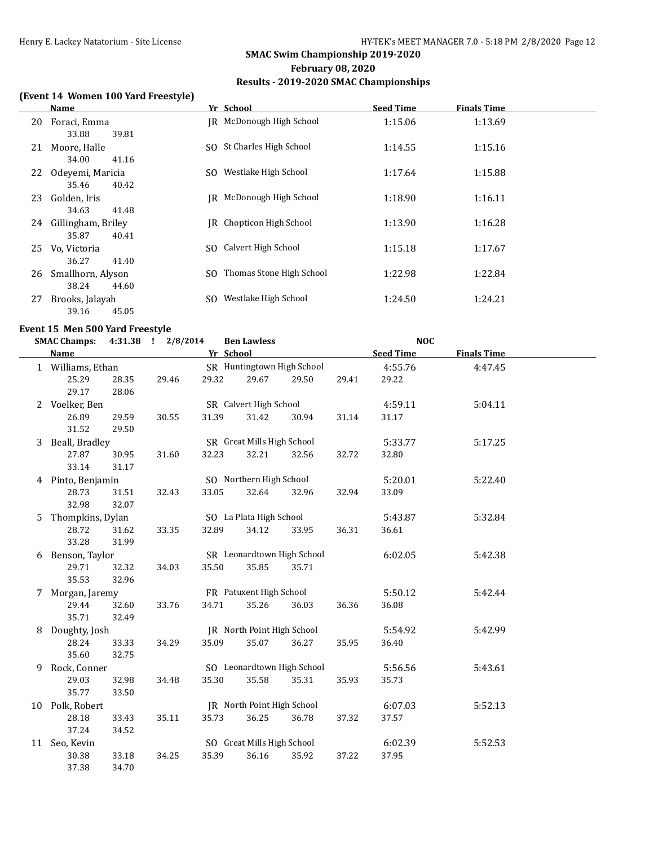### **(Event 14 Women 100 Yard Freestyle)**

|    | Name                                 |     | Yr School                   | <b>Seed Time</b> | <b>Finals Time</b> |
|----|--------------------------------------|-----|-----------------------------|------------------|--------------------|
| 20 | Foraci, Emma<br>39.81<br>33.88       |     | IR McDonough High School    | 1:15.06          | 1:13.69            |
| 21 | Moore, Halle<br>34.00<br>41.16       |     | SO St Charles High School   | 1:14.55          | 1:15.16            |
| 22 | Odevemi, Maricia<br>35.46<br>40.42   | SO. | Westlake High School        | 1:17.64          | 1:15.88            |
| 23 | Golden, Iris<br>34.63<br>41.48       | IR  | McDonough High School       | 1:18.90          | 1:16.11            |
| 24 | Gillingham, Briley<br>35.87<br>40.41 | IR  | Chopticon High School       | 1:13.90          | 1:16.28            |
| 25 | Vo, Victoria<br>36.27<br>41.40       |     | SO Calvert High School      | 1:15.18          | 1:17.67            |
| 26 | Smallhorn, Alyson<br>38.24<br>44.60  |     | SO Thomas Stone High School | 1:22.98          | 1:22.84            |
| 27 | Brooks, Jalayah<br>45.05<br>39.16    | SO. | Westlake High School        | 1:24.50          | 1:24.21            |

### **Event 15 Men 500 Yard Freestyle**

|    | <b>SMAC Champs:</b> |       | 4:31.38 ! 2/8/2014 |       | <b>Ben Lawless</b>         |       |       | <b>NOC</b>       |                    |  |
|----|---------------------|-------|--------------------|-------|----------------------------|-------|-------|------------------|--------------------|--|
|    | <b>Name</b>         |       |                    |       | Yr School                  |       |       | <b>Seed Time</b> | <b>Finals Time</b> |  |
|    | 1 Williams, Ethan   |       |                    |       | SR Huntingtown High School |       |       | 4:55.76          | 4:47.45            |  |
|    | 25.29               | 28.35 | 29.46              | 29.32 | 29.67                      | 29.50 | 29.41 | 29.22            |                    |  |
|    | 29.17               | 28.06 |                    |       |                            |       |       |                  |                    |  |
|    | 2 Voelker, Ben      |       |                    |       | SR Calvert High School     |       |       | 4:59.11          | 5:04.11            |  |
|    | 26.89               | 29.59 | 30.55              | 31.39 | 31.42                      | 30.94 | 31.14 | 31.17            |                    |  |
|    | 31.52               | 29.50 |                    |       |                            |       |       |                  |                    |  |
|    | 3 Beall, Bradley    |       |                    |       | SR Great Mills High School |       |       | 5:33.77          | 5:17.25            |  |
|    | 27.87               | 30.95 | 31.60              | 32.23 | 32.21                      | 32.56 | 32.72 | 32.80            |                    |  |
|    | 33.14               | 31.17 |                    |       |                            |       |       |                  |                    |  |
|    | 4 Pinto, Benjamin   |       |                    |       | SO Northern High School    |       |       | 5:20.01          | 5:22.40            |  |
|    | 28.73               | 31.51 | 32.43              | 33.05 | 32.64                      | 32.96 | 32.94 | 33.09            |                    |  |
|    | 32.98               | 32.07 |                    |       |                            |       |       |                  |                    |  |
| 5  | Thompkins, Dylan    |       |                    |       | SO La Plata High School    |       |       | 5:43.87          | 5:32.84            |  |
|    | 28.72               | 31.62 | 33.35              | 32.89 | 34.12                      | 33.95 | 36.31 | 36.61            |                    |  |
|    | 33.28               | 31.99 |                    |       |                            |       |       |                  |                    |  |
|    | 6 Benson, Taylor    |       |                    |       | SR Leonardtown High School |       |       | 6:02.05          | 5:42.38            |  |
|    | 29.71               | 32.32 | 34.03              | 35.50 | 35.85                      | 35.71 |       |                  |                    |  |
|    | 35.53               | 32.96 |                    |       |                            |       |       |                  |                    |  |
| 7  | Morgan, Jaremy      |       |                    |       | FR Patuxent High School    |       |       | 5:50.12          | 5:42.44            |  |
|    | 29.44               | 32.60 | 33.76              | 34.71 | 35.26                      | 36.03 | 36.36 | 36.08            |                    |  |
|    | 35.71               | 32.49 |                    |       |                            |       |       |                  |                    |  |
| 8  | Doughty, Josh       |       |                    |       | JR North Point High School |       |       | 5:54.92          | 5:42.99            |  |
|    | 28.24               | 33.33 | 34.29              | 35.09 | 35.07                      | 36.27 | 35.95 | 36.40            |                    |  |
|    | 35.60               | 32.75 |                    |       |                            |       |       |                  |                    |  |
|    | 9 Rock, Conner      |       |                    |       | SO Leonardtown High School |       |       | 5:56.56          | 5:43.61            |  |
|    | 29.03               | 32.98 | 34.48              | 35.30 | 35.58                      | 35.31 | 35.93 | 35.73            |                    |  |
|    | 35.77               | 33.50 |                    |       |                            |       |       |                  |                    |  |
|    | 10 Polk, Robert     |       |                    |       | JR North Point High School |       |       | 6:07.03          | 5:52.13            |  |
|    | 28.18               | 33.43 | 35.11              | 35.73 | 36.25                      | 36.78 | 37.32 | 37.57            |                    |  |
|    | 37.24               | 34.52 |                    |       |                            |       |       |                  |                    |  |
| 11 | Seo, Kevin          |       |                    |       | SO Great Mills High School |       |       | 6:02.39          | 5:52.53            |  |
|    | 30.38               | 33.18 | 34.25              | 35.39 | 36.16                      | 35.92 | 37.22 | 37.95            |                    |  |
|    | 37.38               | 34.70 |                    |       |                            |       |       |                  |                    |  |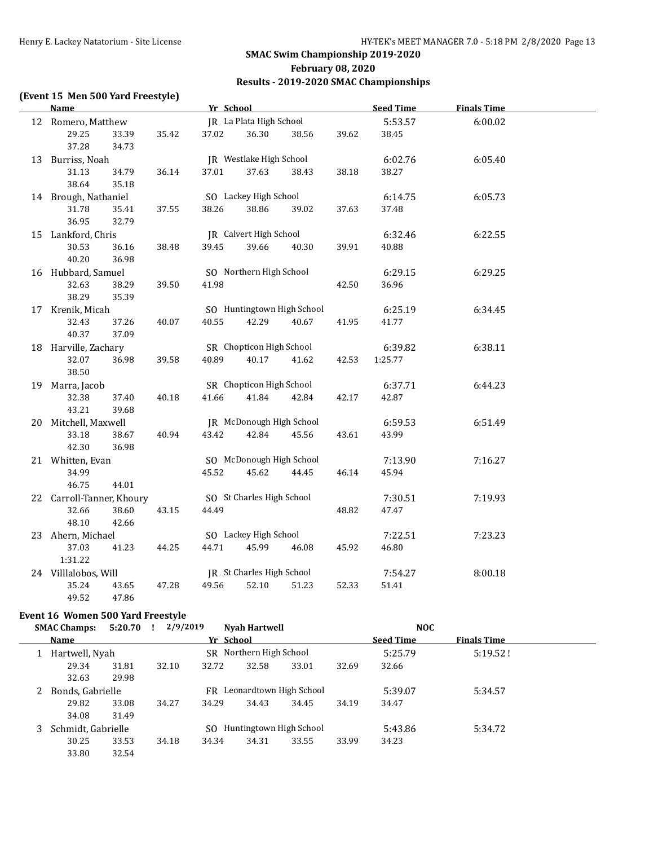### **(Event 15 Men 500 Yard Freestyle)**

| <b>Name</b>               |       |       | Yr School |                           |                            |       | <b>Seed Time</b> | <b>Finals Time</b> |  |
|---------------------------|-------|-------|-----------|---------------------------|----------------------------|-------|------------------|--------------------|--|
| 12 Romero, Matthew        |       |       |           | JR La Plata High School   |                            |       | 5:53.57          | 6:00.02            |  |
| 29.25                     | 33.39 | 35.42 | 37.02     | 36.30                     | 38.56                      | 39.62 | 38.45            |                    |  |
| 37.28                     | 34.73 |       |           |                           |                            |       |                  |                    |  |
| 13 Burriss, Noah          |       |       |           | JR Westlake High School   |                            |       | 6:02.76          | 6:05.40            |  |
| 31.13                     | 34.79 | 36.14 | 37.01     | 37.63                     | 38.43                      | 38.18 | 38.27            |                    |  |
| 38.64                     | 35.18 |       |           |                           |                            |       |                  |                    |  |
| 14 Brough, Nathaniel      |       |       |           | SO Lackey High School     |                            |       | 6:14.75          | 6:05.73            |  |
| 31.78                     | 35.41 | 37.55 | 38.26     | 38.86                     | 39.02                      | 37.63 | 37.48            |                    |  |
| 36.95                     | 32.79 |       |           |                           |                            |       |                  |                    |  |
| 15 Lankford, Chris        |       |       |           | JR Calvert High School    |                            |       | 6:32.46          | 6:22.55            |  |
| 30.53                     | 36.16 | 38.48 | 39.45     | 39.66                     | 40.30                      | 39.91 | 40.88            |                    |  |
| 40.20                     | 36.98 |       |           |                           |                            |       |                  |                    |  |
| 16 Hubbard, Samuel        |       |       |           | SO Northern High School   |                            |       | 6:29.15          | 6:29.25            |  |
| 32.63                     | 38.29 | 39.50 | 41.98     |                           |                            | 42.50 | 36.96            |                    |  |
| 38.29                     | 35.39 |       |           |                           |                            |       |                  |                    |  |
| 17 Krenik, Micah          |       |       |           |                           | SO Huntingtown High School |       | 6:25.19          | 6:34.45            |  |
| 32.43                     | 37.26 | 40.07 | 40.55     | 42.29                     | 40.67                      | 41.95 | 41.77            |                    |  |
| 40.37                     | 37.09 |       |           |                           |                            |       |                  |                    |  |
| 18 Harville, Zachary      |       |       |           | SR Chopticon High School  |                            |       | 6:39.82          | 6:38.11            |  |
| 32.07                     | 36.98 | 39.58 | 40.89     | 40.17                     | 41.62                      | 42.53 | 1:25.77          |                    |  |
| 38.50                     |       |       |           |                           |                            |       |                  |                    |  |
| 19 Marra, Jacob           |       |       |           | SR Chopticon High School  |                            |       | 6:37.71          | 6:44.23            |  |
| 32.38                     | 37.40 | 40.18 | 41.66     | 41.84                     | 42.84                      | 42.17 | 42.87            |                    |  |
| 43.21                     | 39.68 |       |           |                           |                            |       |                  |                    |  |
| 20 Mitchell, Maxwell      |       |       |           | JR McDonough High School  |                            |       | 6:59.53          | 6:51.49            |  |
| 33.18                     | 38.67 | 40.94 | 43.42     | 42.84                     | 45.56                      | 43.61 | 43.99            |                    |  |
| 42.30                     | 36.98 |       |           | SO McDonough High School  |                            |       |                  |                    |  |
| 21 Whitten, Evan<br>34.99 |       |       | 45.52     | 45.62                     | 44.45                      | 46.14 | 7:13.90<br>45.94 | 7:16.27            |  |
| 46.75                     | 44.01 |       |           |                           |                            |       |                  |                    |  |
| 22 Carroll-Tanner, Khoury |       |       |           | SO St Charles High School |                            |       | 7:30.51          | 7:19.93            |  |
| 32.66                     | 38.60 | 43.15 | 44.49     |                           |                            | 48.82 | 47.47            |                    |  |
| 48.10                     | 42.66 |       |           |                           |                            |       |                  |                    |  |
| 23 Ahern, Michael         |       |       |           | SO Lackey High School     |                            |       | 7:22.51          | 7:23.23            |  |
| 37.03                     | 41.23 | 44.25 | 44.71     | 45.99                     | 46.08                      | 45.92 | 46.80            |                    |  |
| 1:31.22                   |       |       |           |                           |                            |       |                  |                    |  |
| 24 Villlalobos, Will      |       |       |           | JR St Charles High School |                            |       | 7:54.27          | 8:00.18            |  |
| 35.24                     | 43.65 | 47.28 | 49.56     | 52.10                     | 51.23                      | 52.33 | 51.41            |                    |  |
| 49.52                     | 47.86 |       |           |                           |                            |       |                  |                    |  |

### **Event 16 Women 500 Yard Freestyle**

|   | <b>SMAC Champs:</b> | $5:20.70$ ! | 2/9/2019 |           | Nyah Hartwell           |                            |       | <b>NOC</b>       |                    |  |
|---|---------------------|-------------|----------|-----------|-------------------------|----------------------------|-------|------------------|--------------------|--|
|   | Name                |             |          | Yr School |                         |                            |       | <b>Seed Time</b> | <b>Finals Time</b> |  |
|   | Hartwell, Nyah      |             |          |           | SR Northern High School |                            |       | 5:25.79          | 5:19.52!           |  |
|   | 29.34               | 31.81       | 32.10    | 32.72     | 32.58                   | 33.01                      | 32.69 | 32.66            |                    |  |
|   | 32.63               | 29.98       |          |           |                         |                            |       |                  |                    |  |
|   | Bonds, Gabrielle    |             |          |           |                         | FR Leonardtown High School |       | 5:39.07          | 5:34.57            |  |
|   | 29.82               | 33.08       | 34.27    | 34.29     | 34.43                   | 34.45                      | 34.19 | 34.47            |                    |  |
|   | 34.08               | 31.49       |          |           |                         |                            |       |                  |                    |  |
| 3 | Schmidt, Gabrielle  |             |          | SO.       |                         | Huntingtown High School    |       | 5:43.86          | 5:34.72            |  |
|   | 30.25               | 33.53       | 34.18    | 34.34     | 34.31                   | 33.55                      | 33.99 | 34.23            |                    |  |
|   | 33.80               | 32.54       |          |           |                         |                            |       |                  |                    |  |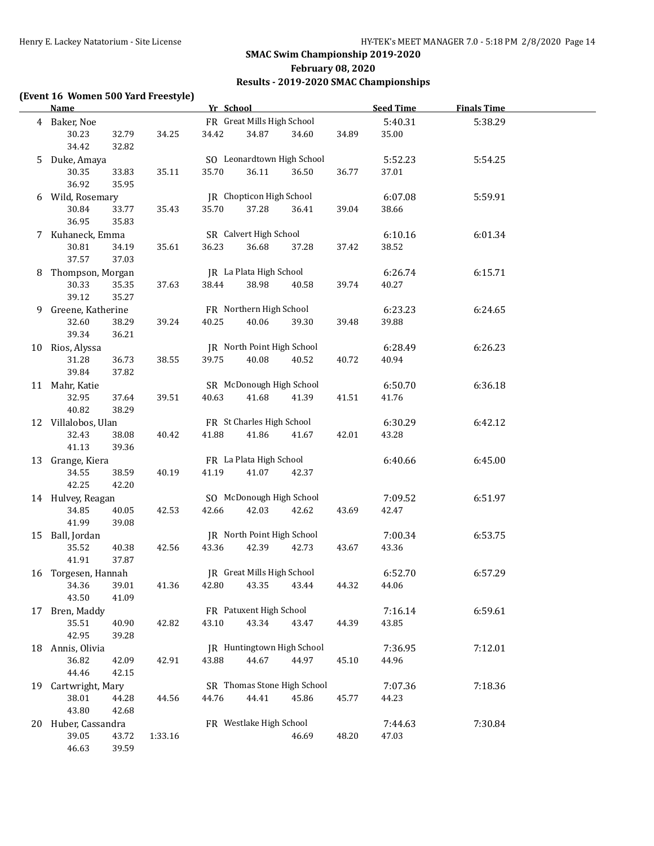### **(Event 16 Women 500 Yard Freestyle)**

|    | <b>Name</b>             |                |         | Yr School |                            |                             |       | <b>Seed Time</b> | <b>Finals Time</b> |  |
|----|-------------------------|----------------|---------|-----------|----------------------------|-----------------------------|-------|------------------|--------------------|--|
|    | 4 Baker, Noe            |                |         |           | FR Great Mills High School |                             |       | 5:40.31          | 5:38.29            |  |
|    | 30.23                   | 32.79          | 34.25   | 34.42     | 34.87                      | 34.60                       | 34.89 | 35.00            |                    |  |
|    | 34.42                   | 32.82          |         |           |                            |                             |       |                  |                    |  |
|    | 5 Duke, Amaya           |                |         |           |                            | SO Leonardtown High School  |       | 5:52.23          | 5:54.25            |  |
|    | 30.35                   | 33.83          | 35.11   | 35.70     | 36.11                      | 36.50                       | 36.77 | 37.01            |                    |  |
|    | 36.92                   | 35.95          |         |           |                            |                             |       |                  |                    |  |
|    | 6 Wild, Rosemary        |                |         |           | JR Chopticon High School   |                             |       | 6:07.08          | 5:59.91            |  |
|    | 30.84                   | 33.77          | 35.43   | 35.70     | 37.28                      | 36.41                       | 39.04 | 38.66            |                    |  |
|    | 36.95                   | 35.83          |         |           |                            |                             |       |                  |                    |  |
|    | 7 Kuhaneck, Emma        |                |         |           | SR Calvert High School     |                             |       | 6:10.16          | 6:01.34            |  |
|    | 30.81                   | 34.19          | 35.61   | 36.23     | 36.68                      | 37.28                       | 37.42 | 38.52            |                    |  |
|    | 37.57                   | 37.03          |         |           |                            |                             |       |                  |                    |  |
|    | 8 Thompson, Morgan      |                |         |           | JR La Plata High School    |                             |       | 6:26.74          | 6:15.71            |  |
|    | 30.33                   | 35.35          | 37.63   | 38.44     | 38.98                      | 40.58                       | 39.74 | 40.27            |                    |  |
|    | 39.12                   | 35.27          |         |           |                            |                             |       |                  |                    |  |
| 9. | Greene, Katherine       |                |         |           | FR Northern High School    |                             |       | 6:23.23          | 6:24.65            |  |
|    | 32.60                   | 38.29          | 39.24   | 40.25     | 40.06                      | 39.30                       | 39.48 | 39.88            |                    |  |
|    | 39.34                   | 36.21          |         |           |                            |                             |       |                  |                    |  |
|    | 10 Rios, Alyssa         |                |         |           | JR North Point High School |                             |       | 6:28.49          | 6:26.23            |  |
|    | 31.28                   | 36.73          | 38.55   | 39.75     | 40.08                      | 40.52                       | 40.72 | 40.94            |                    |  |
|    | 39.84                   | 37.82          |         |           | SR McDonough High School   |                             |       | 6:50.70          | 6:36.18            |  |
|    | 11 Mahr, Katie<br>32.95 | 37.64          | 39.51   | 40.63     | 41.68                      | 41.39                       | 41.51 | 41.76            |                    |  |
|    | 40.82                   | 38.29          |         |           |                            |                             |       |                  |                    |  |
|    | 12 Villalobos, Ulan     |                |         |           | FR St Charles High School  |                             |       | 6:30.29          | 6:42.12            |  |
|    | 32.43                   | 38.08          | 40.42   | 41.88     | 41.86                      | 41.67                       | 42.01 | 43.28            |                    |  |
|    | 41.13                   | 39.36          |         |           |                            |                             |       |                  |                    |  |
|    | 13 Grange, Kiera        |                |         |           | FR La Plata High School    |                             |       | 6:40.66          | 6:45.00            |  |
|    | 34.55                   | 38.59          | 40.19   | 41.19     | 41.07                      | 42.37                       |       |                  |                    |  |
|    | 42.25                   | 42.20          |         |           |                            |                             |       |                  |                    |  |
|    | 14 Hulvey, Reagan       |                |         |           | SO McDonough High School   |                             |       | 7:09.52          | 6:51.97            |  |
|    | 34.85                   | 40.05          | 42.53   | 42.66     | 42.03                      | 42.62                       | 43.69 | 42.47            |                    |  |
|    | 41.99                   | 39.08          |         |           |                            |                             |       |                  |                    |  |
|    | 15 Ball, Jordan         |                |         |           | JR North Point High School |                             |       | 7:00.34          | 6:53.75            |  |
|    | 35.52                   | 40.38          | 42.56   | 43.36     | 42.39                      | 42.73                       | 43.67 | 43.36            |                    |  |
|    | 41.91                   | 37.87          |         |           |                            |                             |       |                  |                    |  |
|    | 16 Torgesen, Hannah     |                |         |           | JR Great Mills High School |                             |       | 6:52.70          | 6:57.29            |  |
|    | 34.36                   | 39.01          | 41.36   | 42.80     | 43.35                      | 43.44                       | 44.32 | 44.06            |                    |  |
|    | 43.50                   | 41.09          |         |           |                            |                             |       |                  |                    |  |
| 17 | Bren, Maddy             |                |         |           | FR Patuxent High School    |                             |       | 7:16.14          | 6:59.61            |  |
|    | 35.51                   | 40.90          | 42.82   | 43.10     | 43.34                      | 43.47                       | 44.39 | 43.85            |                    |  |
|    | 42.95                   | 39.28          |         |           |                            |                             |       |                  |                    |  |
|    | 18 Annis, Olivia        |                |         |           |                            | JR Huntingtown High School  |       | 7:36.95          | 7:12.01            |  |
|    | 36.82<br>44.46          | 42.09<br>42.15 | 42.91   | 43.88     | 44.67                      | 44.97                       | 45.10 | 44.96            |                    |  |
| 19 | Cartwright, Mary        |                |         |           |                            | SR Thomas Stone High School |       | 7:07.36          | 7:18.36            |  |
|    | 38.01                   | 44.28          | 44.56   | 44.76     | 44.41                      | 45.86                       | 45.77 | 44.23            |                    |  |
|    | 43.80                   | 42.68          |         |           |                            |                             |       |                  |                    |  |
|    | 20 Huber, Cassandra     |                |         |           | FR Westlake High School    |                             |       | 7:44.63          | 7:30.84            |  |
|    | 39.05                   | 43.72          | 1:33.16 |           |                            | 46.69                       | 48.20 | 47.03            |                    |  |
|    | 46.63                   | 39.59          |         |           |                            |                             |       |                  |                    |  |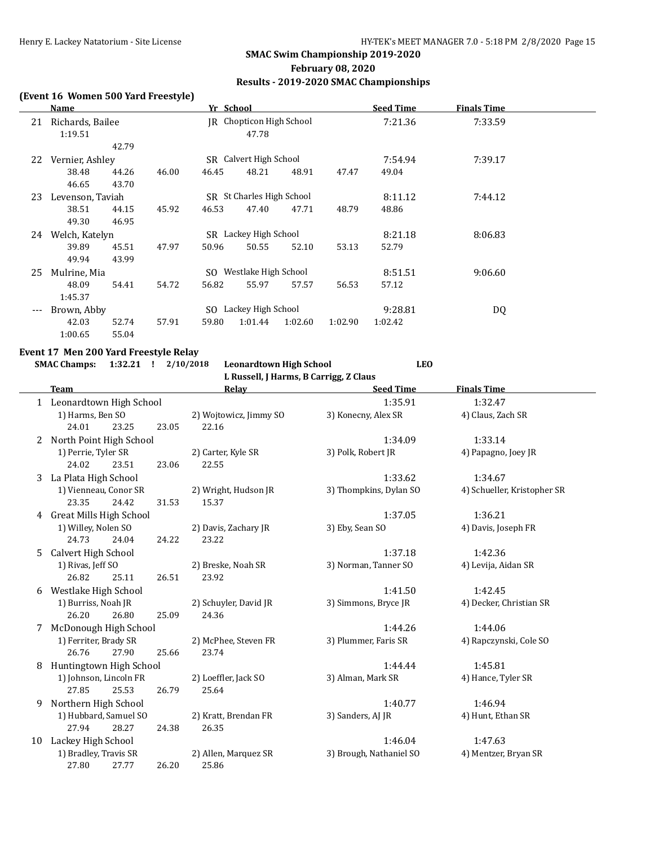#### **(Event 16 Women 500 Yard Freestyle)**

|     | Name             |       |       | Yr School |                           |         |         | <b>Seed Time</b> | <b>Finals Time</b> |  |
|-----|------------------|-------|-------|-----------|---------------------------|---------|---------|------------------|--------------------|--|
| 21  | Richards, Bailee |       |       |           | JR Chopticon High School  |         |         | 7:21.36          | 7:33.59            |  |
|     | 1:19.51          |       |       |           | 47.78                     |         |         |                  |                    |  |
|     |                  | 42.79 |       |           |                           |         |         |                  |                    |  |
| 22  | Vernier, Ashley  |       |       |           | SR Calvert High School    |         |         | 7:54.94          | 7:39.17            |  |
|     | 38.48            | 44.26 | 46.00 | 46.45     | 48.21                     | 48.91   | 47.47   | 49.04            |                    |  |
|     | 46.65            | 43.70 |       |           |                           |         |         |                  |                    |  |
| 23  | Levenson, Taviah |       |       |           | SR St Charles High School |         |         | 8:11.12          | 7:44.12            |  |
|     | 38.51            | 44.15 | 45.92 | 46.53     | 47.40                     | 47.71   | 48.79   | 48.86            |                    |  |
|     | 49.30            | 46.95 |       |           |                           |         |         |                  |                    |  |
| 24  | Welch, Katelyn   |       |       |           | SR Lackey High School     |         |         | 8:21.18          | 8:06.83            |  |
|     | 39.89            | 45.51 | 47.97 | 50.96     | 50.55                     | 52.10   | 53.13   | 52.79            |                    |  |
|     | 49.94            | 43.99 |       |           |                           |         |         |                  |                    |  |
| 25  | Mulrine, Mia     |       |       |           | SO Westlake High School   |         |         | 8:51.51          | 9:06.60            |  |
|     | 48.09            | 54.41 | 54.72 | 56.82     | 55.97                     | 57.57   | 56.53   | 57.12            |                    |  |
|     | 1:45.37          |       |       |           |                           |         |         |                  |                    |  |
| --- | Brown, Abby      |       |       |           | SO Lackey High School     |         |         | 9:28.81          | DQ                 |  |
|     | 42.03            | 52.74 | 57.91 | 59.80     | 1:01.44                   | 1:02.60 | 1:02.90 | 1:02.42          |                    |  |
|     | 1:00.65          | 55.04 |       |           |                           |         |         |                  |                    |  |

#### **Event 17 Men 200 Yard Freestyle Relay**

**SMAC Champs: 1:32.21 ! 2/10/2018 Leonardtown High School LEO L Russell, J Harms, B Carrigg, Z Claus**

**Team Seed Time Finals Time** 1 Leonardtown High School 1:35.91 1:32.47 1) Harms, Ben SO 2) Wojtowicz, Jimmy SO 3) Konecny, Alex SR 4) Claus, Zach SR 24.01 23.25 23.05 22.16 2 North Point High School 1:34.09 1:33.14 1) Perrie, Tyler SR 2) Carter, Kyle SR 3) Polk, Robert JR 4) Papagno, Joey JR 24.02 23.51 23.06 22.55 3 La Plata High School 1:33.62 1:34.67 1) Vienneau, Conor SR 2) Wright, Hudson JR 3) Thompkins, Dylan SO 4) Schueller, Kristopher SR 23.35 24.42 31.53 15.37 4 Great Mills High School 1:37.05 1:36.21 1) Willey, Nolen SO 2) Davis, Zachary JR 3) Eby, Sean SO 4) Davis, Joseph FR 24.73 24.04 24.22 23.22 5 Calvert High School 1:37.18 1:42.36 1) Rivas, Jeff SO 2) Breske, Noah SR 3) Norman, Tanner SO 4) Levija, Aidan SR 26.82 25.11 26.51 23.92 6 Westlake High School 1:41.50 1:42.45 1) Burriss, Noah JR 2) Schuyler, David JR 3) Simmons, Bryce JR 4) Decker, Christian SR 26.20 26.80 25.09 24.36 7 McDonough High School 1:44.26 1:44.06 1) Ferriter, Brady SR 2) McPhee, Steven FR 3) Plummer, Faris SR 4) Rapczynski, Cole SO 26.76 27.90 25.66 23.74 8 Huntingtown High School 2.44.44 1:45.81 1) Johnson, Lincoln FR 2) Loeffler, Jack SO 3) Alman, Mark SR 4) Hance, Tyler SR 27.85 25.53 26.79 25.64 9 Northern High School 1:40.77 1:46.94 1) Hubbard, Samuel SO 2) Kratt, Brendan FR 3) Sanders, AJ JR 4) Hunt, Ethan SR 27.94 28.27 24.38 26.35 10 Lackey High School 1:46.04 1:47.63 1) Bradley, Travis SR 2) Allen, Marquez SR 3) Brough, Nathaniel SO 4) Mentzer, Bryan SR 27.80 27.77 26.20 25.86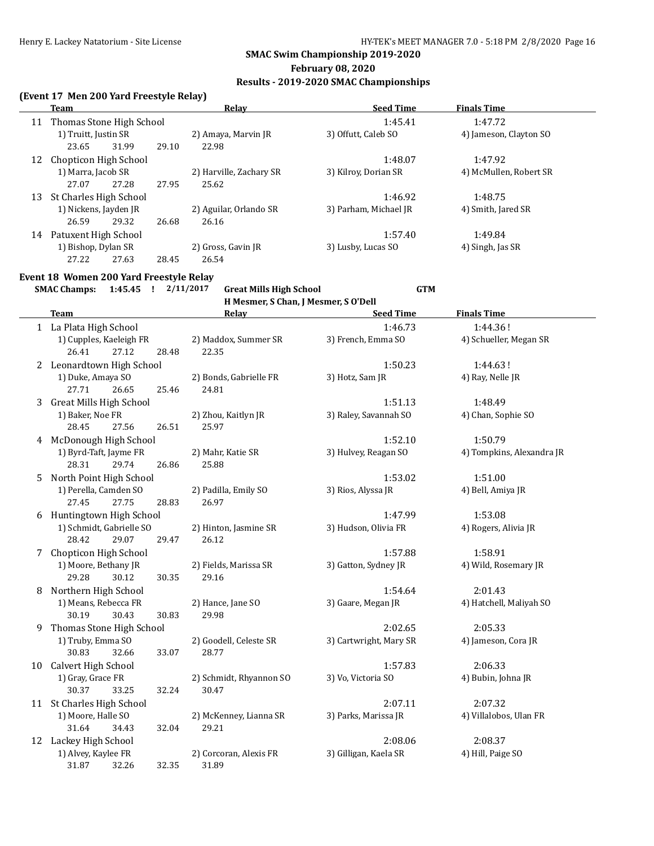### **February 08, 2020**

### **Results - 2019-2020 SMAC Championships**

### **(Event 17 Men 200 Yard Freestyle Relay)**

|    | Team                     |       | Relav                   | <b>Seed Time</b>      | <b>Finals Time</b>     |  |
|----|--------------------------|-------|-------------------------|-----------------------|------------------------|--|
| 11 | Thomas Stone High School |       |                         | 1:45.41               | 1:47.72                |  |
|    | 1) Truitt, Justin SR     |       | 2) Amaya, Marvin JR     | 3) Offutt, Caleb SO   | 4) Jameson, Clayton SO |  |
|    | 31.99<br>23.65           | 29.10 | 22.98                   |                       |                        |  |
| 12 | Chopticon High School    |       |                         | 1:48.07               | 1:47.92                |  |
|    | 1) Marra, Jacob SR       |       | 2) Harville, Zachary SR | 3) Kilroy, Dorian SR  | 4) McMullen, Robert SR |  |
|    | 27.28<br>27.07           | 27.95 | 25.62                   |                       |                        |  |
| 13 | St Charles High School   |       |                         | 1:46.92               | 1:48.75                |  |
|    | 1) Nickens, Jayden JR    |       | 2) Aguilar, Orlando SR  | 3) Parham, Michael JR | 4) Smith, Jared SR     |  |
|    | 26.59<br>29.32           | 26.68 | 26.16                   |                       |                        |  |
| 14 | Patuxent High School     |       |                         | 1:57.40               | 1:49.84                |  |
|    | 1) Bishop, Dylan SR      |       | 2) Gross, Gavin JR      | 3) Lusby, Lucas SO    | 4) Singh, Jas SR       |  |
|    | 27.22<br>27.63           | 28.45 | 26.54                   |                       |                        |  |

### **Event 18 Women 200 Yard Freestyle Relay**

**SMAC Champs: 1:45.45 ! 2/11/2017 Great Mills High School GTM H Mesmer, S Chan, J Mesmer, S O'Dell**

|    | <b>Team</b>                    | Relay                   | <b>Seed Time</b>       | <b>Finals Time</b>        |
|----|--------------------------------|-------------------------|------------------------|---------------------------|
|    | 1 La Plata High School         |                         | 1:46.73                | 1:44.36!                  |
|    | 1) Cupples, Kaeleigh FR        | 2) Maddox, Summer SR    | 3) French, Emma SO     | 4) Schueller, Megan SR    |
|    | 27.12<br>26.41<br>28.48        | 22.35                   |                        |                           |
| 2  | Leonardtown High School        |                         | 1:50.23                | 1:44.63!                  |
|    | 1) Duke, Amaya SO              | 2) Bonds, Gabrielle FR  | 3) Hotz, Sam JR        | 4) Ray, Nelle JR          |
|    | 27.71<br>26.65<br>25.46        | 24.81                   |                        |                           |
| 3  | <b>Great Mills High School</b> |                         | 1:51.13                | 1:48.49                   |
|    | 1) Baker, Noe FR               | 2) Zhou, Kaitlyn JR     | 3) Raley, Savannah SO  | 4) Chan, Sophie SO        |
|    | 28.45<br>27.56<br>26.51        | 25.97                   |                        |                           |
| 4  | McDonough High School          |                         | 1:52.10                | 1:50.79                   |
|    | 1) Byrd-Taft, Jayme FR         | 2) Mahr, Katie SR       | 3) Hulvey, Reagan SO   | 4) Tompkins, Alexandra JR |
|    | 29.74<br>28.31<br>26.86        | 25.88                   |                        |                           |
| 5  | North Point High School        |                         | 1:53.02                | 1:51.00                   |
|    | 1) Perella, Camden SO          | 2) Padilla, Emily SO    | 3) Rios, Alyssa JR     | 4) Bell, Amiya JR         |
|    | 27.45<br>27.75<br>28.83        | 26.97                   |                        |                           |
|    | 6 Huntingtown High School      |                         | 1:47.99                | 1:53.08                   |
|    | 1) Schmidt, Gabrielle SO       | 2) Hinton, Jasmine SR   | 3) Hudson, Olivia FR   | 4) Rogers, Alivia JR      |
|    | 28.42<br>29.07<br>29.47        | 26.12                   |                        |                           |
| 7  | Chopticon High School          |                         | 1:57.88                | 1:58.91                   |
|    | 1) Moore, Bethany JR           | 2) Fields, Marissa SR   | 3) Gatton, Sydney JR   | 4) Wild, Rosemary JR      |
|    | 29.28<br>30.12<br>30.35        | 29.16                   |                        |                           |
| 8  | Northern High School           |                         | 1:54.64                | 2:01.43                   |
|    | 1) Means, Rebecca FR           | 2) Hance, Jane SO       | 3) Gaare, Megan JR     | 4) Hatchell, Maliyah SO   |
|    | 30.19<br>30.43<br>30.83        | 29.98                   |                        |                           |
| 9  | Thomas Stone High School       |                         | 2:02.65                | 2:05.33                   |
|    | 1) Truby, Emma SO              | 2) Goodell, Celeste SR  | 3) Cartwright, Mary SR | 4) Jameson, Cora JR       |
|    | 30.83<br>32.66<br>33.07        | 28.77                   |                        |                           |
| 10 | Calvert High School            |                         | 1:57.83                | 2:06.33                   |
|    | 1) Gray, Grace FR              | 2) Schmidt, Rhyannon SO | 3) Vo, Victoria SO     | 4) Bubin, Johna JR        |
|    | 30.37<br>33.25<br>32.24        | 30.47                   |                        |                           |
| 11 | St Charles High School         |                         | 2:07.11                | 2:07.32                   |
|    | 1) Moore, Halle SO             | 2) McKenney, Lianna SR  | 3) Parks, Marissa JR   | 4) Villalobos, Ulan FR    |
|    | 31.64<br>34.43<br>32.04        | 29.21                   |                        |                           |
|    | 12 Lackey High School          |                         | 2:08.06                | 2:08.37                   |
|    | 1) Alvey, Kaylee FR            | 2) Corcoran, Alexis FR  | 3) Gilligan, Kaela SR  | 4) Hill, Paige SO         |
|    | 32.35<br>31.87<br>32.26        | 31.89                   |                        |                           |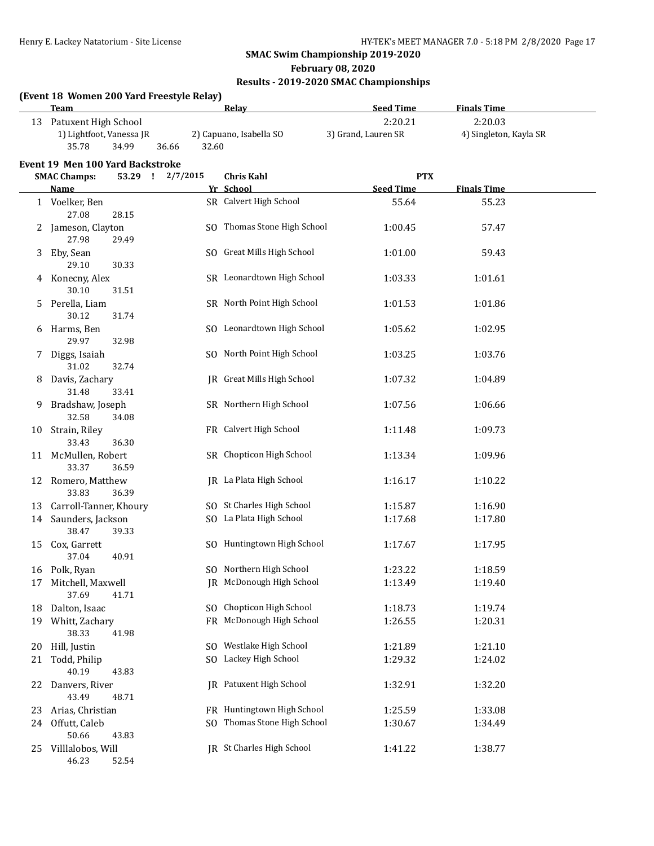46.23 52.54

#### **SMAC Swim Championship 2019-2020**

#### **February 08, 2020**

### **Results - 2019-2020 SMAC Championships**

### **(Event 18 Women 200 Yard Freestyle Relay) Team Relay Seed Time Finals Time** 13 Patuxent High School 2:20.21 2:20.03 1) Lightfoot, Vanessa JR 2) Capuano, Isabella SO 3) Grand, Lauren SR 4) Singleton, Kayla SR 35.78 34.99 36.66 32.60 **Event 19 Men 100 Yard Backstroke SMAC Champs: 53.29 ! 2/7/2015 Chris Kahl PTX Name Seed Time Seed Time Finals Time** 1 Voelker, Ben SR Calvert High School 55.64 55.23 27.08 28.15 2 Jameson, Clayton SO Thomas Stone High School 1:00.45 57.47 27.98 29.49 3 Eby, Sean SO Great Mills High School 1:01.00 59.43 29.10 30.33 4 Konecny, Alex SR Leonardtown High School 1:03.33 1:01.61 30.10 31.51 5 Perella, Liam SR North Point High School 1:01.53 1:01.86 30.12 31.74 6 Harms, Ben SO Leonardtown High School 1:05.62 1:02.95 29.97 32.98 7 Diggs, Isaiah SO North Point High School 1:03.25 1:03.76 31.02 32.74 8 Davis, Zachary **JR** Great Mills High School 1:07.32 1:04.89 31.48 33.41 9 Bradshaw, Joseph SR Northern High School 1:07.56 1:06.66 32.58 34.08 10 Strain, Riley **FR** Calvert High School 1:11.48 1:09.73 33.43 36.30 11 McMullen, Robert SR Chopticon High School 1:13.34 1:09.96 33.37 36.59 12 Romero, Matthew **JR** La Plata High School 1:16.17 1:10.22 33.83 36.39 13 Carroll-Tanner, Khoury SO St Charles High School 1:15.87 1:16.90 14 Saunders, Jackson SQ La Plata High School 1:17.68 1:17.80 38.47 39.33 15 Cox, Garrett SQ Huntingtown High School 1:17.67 1:17.95 37.04 40.91 16 Polk, Ryan SO Northern High School 1:23.22 1:18.59 17 Mitchell, Maxwell **IR** McDonough High School 1:13.49 1:19.40 37.69 41.71 18 Dalton, Isaac SO Chopticon High School 1:18.73 1:19.74 19 Whitt, Zachary **FR** McDonough High School 1:26.55 1:20.31 38.33 41.98 20 Hill, Justin SO Westlake High School 1:21.89 1:21.10 21 Todd, Philip SO Lackey High School 1:29.32 1:24.02 40.19 43.83 22 Danvers, River JR Patuxent High School 1:32.91 1:32.20 43.49 48.71 23 Arias, Christian FR Huntingtown High School 1:25.59 1:33.08 24 Offutt, Caleb SQ Thomas Stone High School 1:30.67 1:34.49 50.66 43.83 25 Villlalobos, Will JR St Charles High School 1:41.22 1:38.77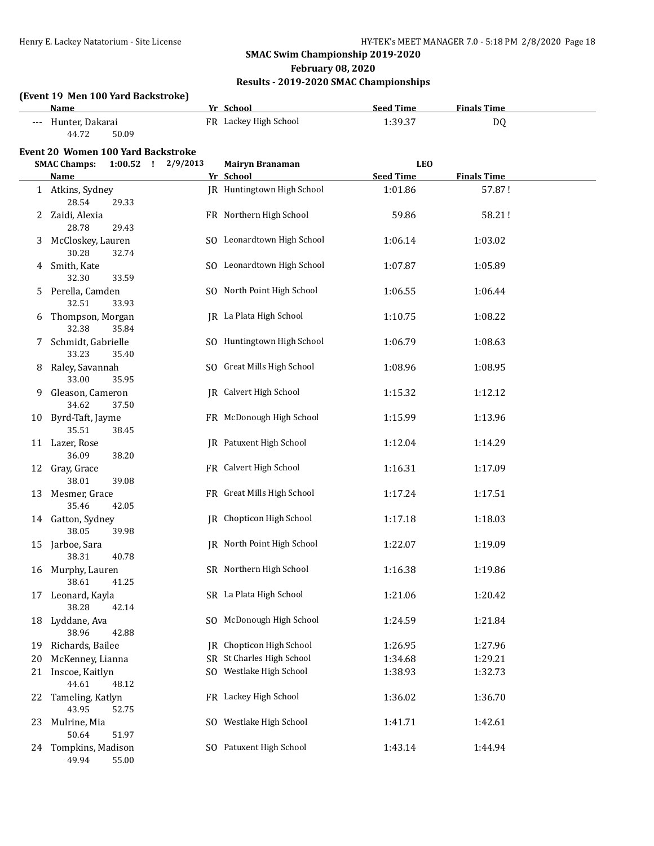**February 08, 2020**

### **Results - 2019-2020 SMAC Championships**

### **(Event 19 Men 100 Yard Backstroke)**

|    | <b>Name</b>                          |          | Yr School                      | <b>Seed Time</b> | <b>Finals Time</b> |  |
|----|--------------------------------------|----------|--------------------------------|------------------|--------------------|--|
|    | Hunter, Dakarai<br>44.72<br>50.09    |          | FR Lackey High School          | 1:39.37          | <b>DQ</b>          |  |
|    | Event 20 Women 100 Yard Backstroke   |          |                                |                  |                    |  |
|    | <b>SMAC Champs:</b><br>$1:00.52$ !   | 2/9/2013 | <b>Mairyn Branaman</b>         | <b>LEO</b>       |                    |  |
|    | Name                                 |          | Yr School                      | <b>Seed Time</b> | <b>Finals Time</b> |  |
|    | 1 Atkins, Sydney<br>28.54<br>29.33   |          | JR Huntingtown High School     | 1:01.86          | 57.87!             |  |
|    | 2 Zaidi, Alexia<br>28.78<br>29.43    |          | FR Northern High School        | 59.86            | 58.21!             |  |
| 3  | McCloskey, Lauren<br>30.28<br>32.74  |          | SO Leonardtown High School     | 1:06.14          | 1:03.02            |  |
| 4  | Smith, Kate<br>32.30<br>33.59        |          | SO Leonardtown High School     | 1:07.87          | 1:05.89            |  |
| 5. | Perella, Camden<br>32.51<br>33.93    |          | SO North Point High School     | 1:06.55          | 1:06.44            |  |
|    | Thompson, Morgan<br>32.38<br>35.84   |          | JR La Plata High School        | 1:10.75          | 1:08.22            |  |
| 7  | Schmidt, Gabrielle<br>33.23<br>35.40 |          | SO Huntingtown High School     | 1:06.79          | 1:08.63            |  |
| 8  | Raley, Savannah<br>33.00<br>35.95    |          | SO Great Mills High School     | 1:08.96          | 1:08.95            |  |
| 9  | Gleason, Cameron<br>34.62<br>37.50   |          | <b>IR</b> Calvert High School  | 1:15.32          | 1:12.12            |  |
| 10 | Byrd-Taft, Jayme<br>35.51<br>38.45   |          | FR McDonough High School       | 1:15.99          | 1:13.96            |  |
|    | 11 Lazer, Rose<br>36.09<br>38.20     |          | <b>IR</b> Patuxent High School | 1:12.04          | 1:14.29            |  |
|    | 12 Gray, Grace<br>38.01<br>39.08     |          | FR Calvert High School         | 1:16.31          | 1:17.09            |  |
| 13 | Mesmer, Grace<br>35.46<br>42.05      |          | FR Great Mills High School     | 1:17.24          | 1:17.51            |  |
|    | 14 Gatton, Sydney<br>38.05<br>39.98  |          | IR Chopticon High School       | 1:17.18          | 1:18.03            |  |
| 15 | Jarboe, Sara<br>38.31<br>40.78       |          | IR North Point High School     | 1:22.07          | 1:19.09            |  |
| 16 | Murphy, Lauren<br>38.61 41.25        |          | SR Northern High School        | 1:16.38          | 1:19.86            |  |
| 17 | Leonard, Kayla<br>38.28<br>42.14     |          | SR La Plata High School        | 1:21.06          | 1:20.42            |  |
| 18 | Lyddane, Ava<br>38.96<br>42.88       | SO.      | McDonough High School          | 1:24.59          | 1:21.84            |  |
| 19 | Richards, Bailee                     | IR       | Chopticon High School          | 1:26.95          | 1:27.96            |  |
| 20 | McKenney, Lianna                     |          | SR St Charles High School      | 1:34.68          | 1:29.21            |  |
| 21 | Inscoe, Kaitlyn<br>44.61<br>48.12    | SO.      | Westlake High School           | 1:38.93          | 1:32.73            |  |
| 22 | Tameling, Katlyn<br>43.95<br>52.75   |          | FR Lackey High School          | 1:36.02          | 1:36.70            |  |
| 23 | Mulrine, Mia<br>50.64<br>51.97       | SO.      | Westlake High School           | 1:41.71          | 1:42.61            |  |
| 24 | Tompkins, Madison<br>49.94<br>55.00  |          | SO Patuxent High School        | 1:43.14          | 1:44.94            |  |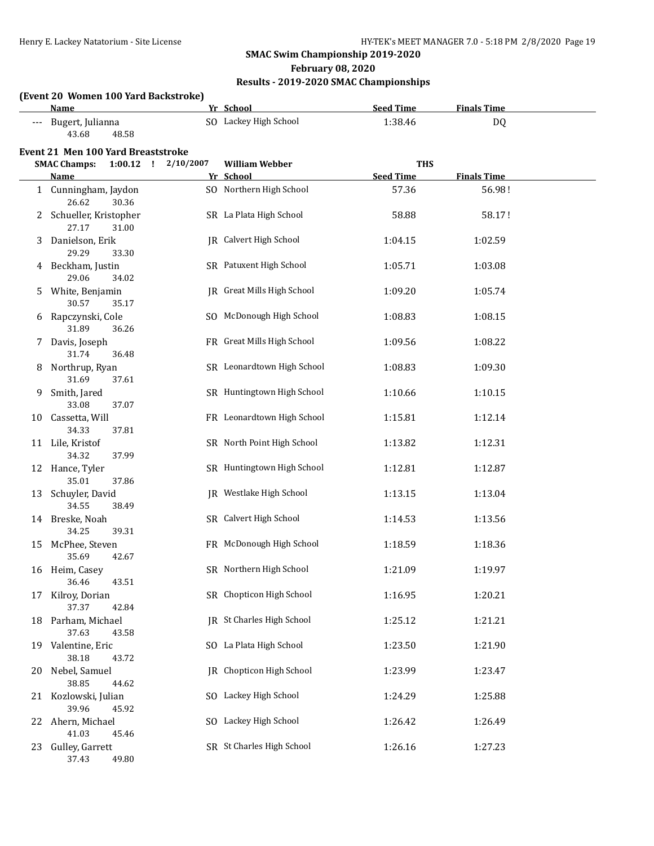### **February 08, 2020**

### **Results - 2019-2020 SMAC Championships**

### **(Event 20 Women 100 Yard Backstroke)**

|    | Name                                    |           | Yr School                  | <b>Seed Time</b> | <b>Finals Time</b> |  |
|----|-----------------------------------------|-----------|----------------------------|------------------|--------------------|--|
|    | Bugert, Julianna<br>43.68<br>48.58      |           | SO Lackey High School      | 1:38.46          | DQ                 |  |
|    | Event 21 Men 100 Yard Breaststroke      |           |                            |                  |                    |  |
|    | $1:00.12$ !<br><b>SMAC Champs:</b>      | 2/10/2007 | <b>William Webber</b>      | <b>THS</b>       |                    |  |
|    | Name                                    |           | Yr School                  | <b>Seed Time</b> | <b>Finals Time</b> |  |
|    | 1 Cunningham, Jaydon<br>26.62<br>30.36  |           | SO Northern High School    | 57.36            | 56.98!             |  |
|    | Schueller, Kristopher<br>27.17<br>31.00 |           | SR La Plata High School    | 58.88            | 58.17!             |  |
| 3  | Danielson, Erik<br>29.29<br>33.30       |           | JR Calvert High School     | 1:04.15          | 1:02.59            |  |
|    | 4 Beckham, Justin<br>29.06<br>34.02     |           | SR Patuxent High School    | 1:05.71          | 1:03.08            |  |
| 5. | White, Benjamin<br>30.57<br>35.17       |           | JR Great Mills High School | 1:09.20          | 1:05.74            |  |
|    | Rapczynski, Cole<br>31.89<br>36.26      |           | SO McDonough High School   | 1:08.83          | 1:08.15            |  |
| 7. | Davis, Joseph<br>31.74<br>36.48         |           | FR Great Mills High School | 1:09.56          | 1:08.22            |  |
| 8  | Northrup, Ryan<br>31.69<br>37.61        |           | SR Leonardtown High School | 1:08.83          | 1:09.30            |  |
| 9  | Smith, Jared<br>33.08<br>37.07          |           | SR Huntingtown High School | 1:10.66          | 1:10.15            |  |
| 10 | Cassetta, Will<br>34.33<br>37.81        |           | FR Leonardtown High School | 1:15.81          | 1:12.14            |  |
|    | 11 Lile, Kristof<br>34.32<br>37.99      |           | SR North Point High School | 1:13.82          | 1:12.31            |  |
|    | 12 Hance, Tyler<br>35.01<br>37.86       |           | SR Huntingtown High School | 1:12.81          | 1:12.87            |  |
| 13 | Schuyler, David<br>34.55<br>38.49       |           | JR Westlake High School    | 1:13.15          | 1:13.04            |  |
|    | 14 Breske, Noah<br>34.25<br>39.31       |           | SR Calvert High School     | 1:14.53          | 1:13.56            |  |
| 15 | McPhee, Steven<br>35.69<br>42.67        |           | FR McDonough High School   | 1:18.59          | 1:18.36            |  |
|    | 16 Heim, Casey<br>36.46<br>43.51        |           | SR Northern High School    | 1:21.09          | 1:19.97            |  |
| 17 | Kilroy, Dorian<br>37.37<br>42.84        |           | SR Chopticon High School   | 1:16.95          | 1:20.21            |  |
| 18 | Parham, Michael<br>37.63<br>43.58       |           | JR St Charles High School  | 1:25.12          | 1:21.21            |  |
| 19 | Valentine, Eric<br>38.18<br>43.72       |           | SO La Plata High School    | 1:23.50          | 1:21.90            |  |
| 20 | Nebel, Samuel<br>38.85<br>44.62         |           | JR Chopticon High School   | 1:23.99          | 1:23.47            |  |
| 21 | Kozlowski, Julian<br>39.96<br>45.92     |           | SO Lackey High School      | 1:24.29          | 1:25.88            |  |
| 22 | Ahern, Michael<br>41.03<br>45.46        |           | SO Lackey High School      | 1:26.42          | 1:26.49            |  |
| 23 | Gulley, Garrett<br>37.43<br>49.80       |           | SR St Charles High School  | 1:26.16          | 1:27.23            |  |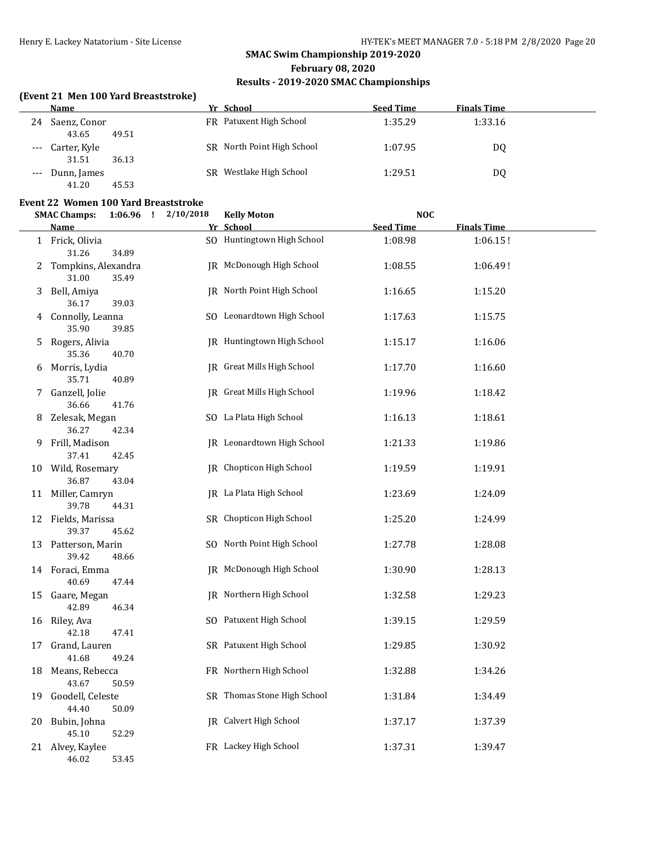# **SMAC Swim Championship 2019-2020 February 08, 2020**

### **Results - 2019-2020 SMAC Championships**

### **(Event 21 Men 100 Yard Breaststroke)**

|       | Name         |       | Yr School                  | <b>Seed Time</b> | <b>Finals Time</b> |
|-------|--------------|-------|----------------------------|------------------|--------------------|
| 24    | Saenz, Conor |       | FR Patuxent High School    | 1:35.29          | 1:33.16            |
|       | 43.65        | 49.51 |                            |                  |                    |
| $---$ | Carter, Kyle |       | SR North Point High School | 1:07.95          | DQ                 |
|       | 31.51        | 36.13 |                            |                  |                    |
| $---$ | Dunn, James  |       | SR Westlake High School    | 1:29.51          | DQ                 |
|       | 41.20        | 45.53 |                            |                  |                    |

### **Event 22 Women 100 Yard Breaststroke**

|    | <b>SMAC Champs:</b>          | $1:06.96$ ! | 2/10/2018 | <b>Kelly Moton</b>          | <b>NOC</b>       |                    |  |
|----|------------------------------|-------------|-----------|-----------------------------|------------------|--------------------|--|
|    | <b>Name</b>                  |             |           | Yr School                   | <b>Seed Time</b> | <b>Finals Time</b> |  |
|    | 1 Frick, Olivia<br>31.26     | 34.89       |           | SO Huntingtown High School  | 1:08.98          | 1:06.15!           |  |
| 2  | Tompkins, Alexandra<br>31.00 | 35.49       |           | JR McDonough High School    | 1:08.55          | 1:06.49!           |  |
| 3  | Bell, Amiya<br>36.17         | 39.03       |           | JR North Point High School  | 1:16.65          | 1:15.20            |  |
| 4  | Connolly, Leanna<br>35.90    | 39.85       |           | SO Leonardtown High School  | 1:17.63          | 1:15.75            |  |
| 5  | Rogers, Alivia<br>35.36      | 40.70       |           | JR Huntingtown High School  | 1:15.17          | 1:16.06            |  |
| 6  | Morris, Lydia<br>35.71       | 40.89       |           | JR Great Mills High School  | 1:17.70          | 1:16.60            |  |
| 7  | Ganzell, Jolie<br>36.66      | 41.76       |           | IR Great Mills High School  | 1:19.96          | 1:18.42            |  |
|    | 8 Zelesak, Megan<br>36.27    | 42.34       |           | SO La Plata High School     | 1:16.13          | 1:18.61            |  |
| 9. | Frill, Madison<br>37.41      | 42.45       |           | JR Leonardtown High School  | 1:21.33          | 1:19.86            |  |
|    | 10 Wild, Rosemary<br>36.87   | 43.04       |           | JR Chopticon High School    | 1:19.59          | 1:19.91            |  |
|    | 11 Miller, Camryn<br>39.78   | 44.31       |           | JR La Plata High School     | 1:23.69          | 1:24.09            |  |
|    | 12 Fields, Marissa<br>39.37  | 45.62       |           | SR Chopticon High School    | 1:25.20          | 1:24.99            |  |
|    | 13 Patterson, Marin<br>39.42 | 48.66       |           | SO North Point High School  | 1:27.78          | 1:28.08            |  |
|    | 14 Foraci, Emma<br>40.69     | 47.44       |           | JR McDonough High School    | 1:30.90          | 1:28.13            |  |
| 15 | Gaare, Megan<br>42.89        | 46.34       |           | JR Northern High School     | 1:32.58          | 1:29.23            |  |
| 16 | Riley, Ava<br>42.18          | 47.41       |           | SO Patuxent High School     | 1:39.15          | 1:29.59            |  |
| 17 | Grand, Lauren<br>41.68       | 49.24       |           | SR Patuxent High School     | 1:29.85          | 1:30.92            |  |
| 18 | Means, Rebecca<br>43.67      | 50.59       |           | FR Northern High School     | 1:32.88          | 1:34.26            |  |
| 19 | Goodell, Celeste<br>44.40    | 50.09       |           | SR Thomas Stone High School | 1:31.84          | 1:34.49            |  |
| 20 | Bubin, Johna<br>45.10        | 52.29       |           | JR Calvert High School      | 1:37.17          | 1:37.39            |  |
|    | 21 Alvey, Kaylee<br>46.02    | 53.45       |           | FR Lackey High School       | 1:37.31          | 1:39.47            |  |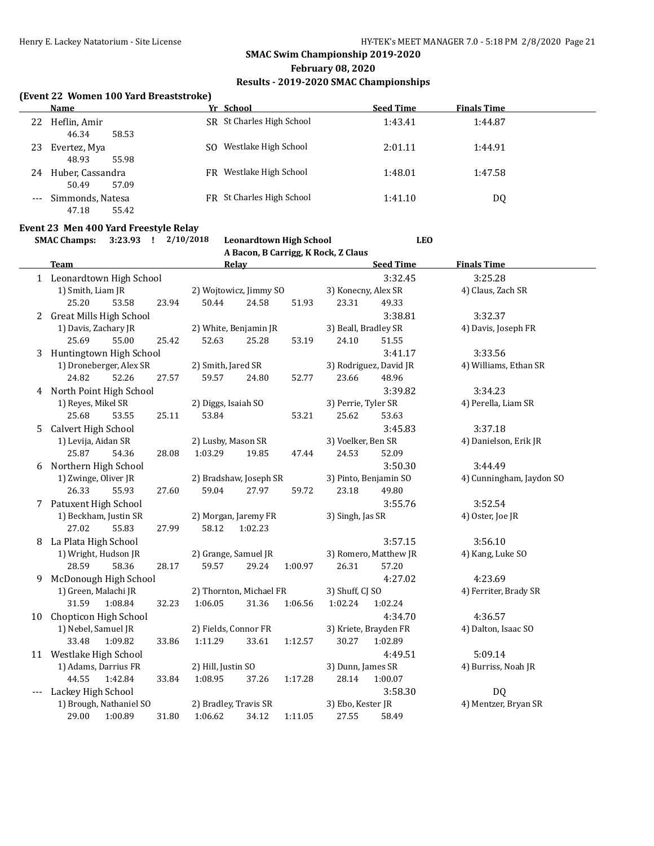### **February 08, 2020**

### **Results - 2019-2020 SMAC Championships**

### **(Event 22 Women 100 Yard Breaststroke)**

|       | <b>Name</b>      | Yr School                   | <b>Seed Time</b> | <b>Finals Time</b> |  |
|-------|------------------|-----------------------------|------------------|--------------------|--|
| 22    | Heflin, Amir     | SR St Charles High School   | 1:43.41          | 1:44.87            |  |
|       | 46.34<br>58.53   |                             |                  |                    |  |
| 23    | Evertez, Mya     | Westlake High School<br>SO. | 2:01.11          | 1:44.91            |  |
|       | 48.93<br>55.98   |                             |                  |                    |  |
| 24    | Huber, Cassandra | Westlake High School<br>FR  | 1:48.01          | 1:47.58            |  |
|       | 57.09<br>50.49   |                             |                  |                    |  |
| $---$ | Simmonds, Natesa | FR St Charles High School   | 1:41.10          | DQ                 |  |
|       | 55.42<br>47.18   |                             |                  |                    |  |

### **Event 23 Men 400 Yard Freestyle Relay**

### **SMAC Champs: 3:23.93 ! 2/10/2018 Leonardtown High School LEO A Bacon, B Carrigg, K Rock, Z Claus**

|    | <b>Team</b>                    | Relay                       | <b>Seed Time</b>       | <b>Finals Time</b>       |
|----|--------------------------------|-----------------------------|------------------------|--------------------------|
|    | 1 Leonardtown High School      |                             | 3:32.45                | 3:25.28                  |
|    | 1) Smith, Liam JR              | 2) Wojtowicz, Jimmy SO      | 3) Konecny, Alex SR    | 4) Claus, Zach SR        |
|    | 25.20<br>53.58<br>23.94        | 50.44<br>24.58<br>51.93     | 23.31<br>49.33         |                          |
| 2  | <b>Great Mills High School</b> |                             | 3:38.81                | 3:32.37                  |
|    | 1) Davis, Zachary JR           | 2) White, Benjamin JR       | 3) Beall, Bradley SR   | 4) Davis, Joseph FR      |
|    | 25.69<br>55.00<br>25.42        | 52.63<br>25.28<br>53.19     | 24.10<br>51.55         |                          |
| 3  | Huntingtown High School        |                             | 3:41.17                | 3:33.56                  |
|    | 1) Droneberger, Alex SR        | 2) Smith, Jared SR          | 3) Rodriguez, David JR | 4) Williams, Ethan SR    |
|    | 52.26<br>24.82<br>27.57        | 59.57<br>24.80<br>52.77     | 23.66<br>48.96         |                          |
| 4  | North Point High School        |                             | 3:39.82                | 3:34.23                  |
|    | 1) Reyes, Mikel SR             | 2) Diggs, Isaiah SO         | 3) Perrie, Tyler SR    | 4) Perella, Liam SR      |
|    | 25.68<br>25.11<br>53.55        | 53.84<br>53.21              | 25.62<br>53.63         |                          |
| 5  | Calvert High School            |                             | 3:45.83                | 3:37.18                  |
|    | 1) Levija, Aidan SR            | 2) Lusby, Mason SR          | 3) Voelker, Ben SR     | 4) Danielson, Erik JR    |
|    | 25.87<br>54.36<br>28.08        | 1:03.29<br>19.85<br>47.44   | 24.53<br>52.09         |                          |
| 6  | Northern High School           |                             | 3:50.30                | 3:44.49                  |
|    | 1) Zwinge, Oliver JR           | 2) Bradshaw, Joseph SR      | 3) Pinto, Benjamin SO  | 4) Cunningham, Jaydon SO |
|    | 26.33<br>55.93<br>27.60        | 59.04<br>27.97<br>59.72     | 23.18<br>49.80         |                          |
| 7  | Patuxent High School           |                             | 3:55.76                | 3:52.54                  |
|    | 1) Beckham, Justin SR          | 2) Morgan, Jaremy FR        | 3) Singh, Jas SR       | 4) Oster, Joe JR         |
|    | 55.83<br>27.02<br>27.99        | 58.12<br>1:02.23            |                        |                          |
| 8  | La Plata High School           |                             | 3:57.15                | 3:56.10                  |
|    | 1) Wright, Hudson JR           | 2) Grange, Samuel JR        | 3) Romero, Matthew JR  | 4) Kang, Luke SO         |
|    | 28.59<br>58.36<br>28.17        | 29.24<br>59.57<br>1:00.97   | 26.31<br>57.20         |                          |
| 9  | McDonough High School          |                             | 4:27.02                | 4:23.69                  |
|    | 1) Green, Malachi JR           | 2) Thornton, Michael FR     | 3) Shuff, CJ SO        | 4) Ferriter, Brady SR    |
|    | 31.59<br>1:08.84<br>32.23      | 31.36<br>1:06.56<br>1:06.05 | 1:02.24<br>1:02.24     |                          |
| 10 | Chopticon High School          |                             | 4:34.70                | 4:36.57                  |
|    | 1) Nebel, Samuel JR            | 2) Fields, Connor FR        | 3) Kriete, Brayden FR  | 4) Dalton, Isaac SO      |
|    | 33.48<br>1:09.82<br>33.86      | 33.61<br>1:12.57<br>1:11.29 | 30.27<br>1:02.89       |                          |
|    | 11 Westlake High School        |                             | 4:49.51                | 5:09.14                  |
|    | 1) Adams, Darrius FR           | 2) Hill, Justin SO          | 3) Dunn, James SR      | 4) Burriss, Noah JR      |
|    | 44.55<br>1:42.84<br>33.84      | 1:17.28<br>1:08.95<br>37.26 | 28.14<br>1:00.07       |                          |
|    | Lackey High School             |                             | 3:58.30                | DQ                       |
|    | 1) Brough, Nathaniel SO        | 2) Bradley, Travis SR       | 3) Ebo, Kester JR      | 4) Mentzer, Bryan SR     |
|    | 29.00<br>1:00.89<br>31.80      | 1:06.62<br>34.12<br>1:11.05 | 27.55<br>58.49         |                          |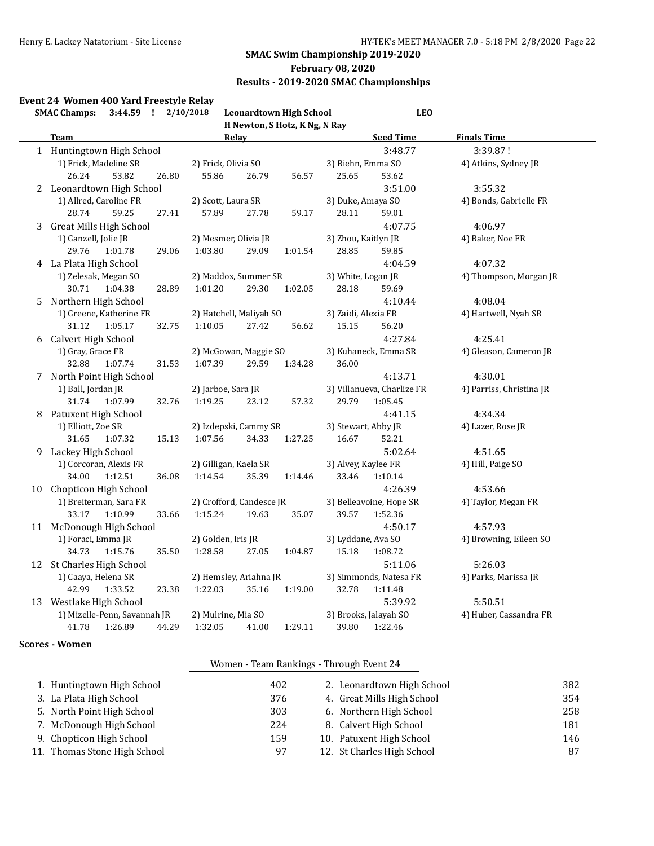### **February 08, 2020**

### **Results - 2019-2020 SMAC Championships**

### **Event 24 Women 400 Yard Freestyle Relay**

|   | 3:44.59 ! 2/10/2018<br><b>SMAC Champs:</b> | <b>Leonardtown High School</b> | <b>LEO</b>                 |                          |
|---|--------------------------------------------|--------------------------------|----------------------------|--------------------------|
|   |                                            | H Newton, S Hotz, K Ng, N Ray  |                            |                          |
|   | <b>Team</b>                                | <b>Relay</b>                   | <b>Seed Time</b>           | <b>Finals Time</b>       |
|   | 1 Huntingtown High School                  |                                | 3:48.77                    | 3:39.87!                 |
|   | 1) Frick, Madeline SR                      | 2) Frick, Olivia SO            | 3) Biehn, Emma SO          | 4) Atkins, Sydney JR     |
|   | 26.24<br>53.82<br>26.80                    | 55.86<br>26.79<br>56.57        | 25.65<br>53.62             |                          |
|   | 2 Leonardtown High School                  |                                | 3:51.00                    | 3:55.32                  |
|   | 1) Allred, Caroline FR                     | 2) Scott, Laura SR             | 3) Duke, Amaya SO          | 4) Bonds, Gabrielle FR   |
|   | 28.74<br>59.25<br>27.41                    | 57.89<br>27.78<br>59.17        | 28.11<br>59.01             |                          |
| 3 | <b>Great Mills High School</b>             |                                | 4:07.75                    | 4:06.97                  |
|   | 1) Ganzell, Jolie JR                       | 2) Mesmer, Olivia JR           | 3) Zhou, Kaitlyn JR        | 4) Baker, Noe FR         |
|   | 29.76<br>1:01.78<br>29.06                  | 1:03.80<br>29.09<br>1:01.54    | 28.85<br>59.85             |                          |
|   | 4 La Plata High School                     |                                | 4:04.59                    | 4:07.32                  |
|   | 1) Zelesak, Megan SO                       | 2) Maddox, Summer SR           | 3) White, Logan JR         | 4) Thompson, Morgan JR   |
|   | 30.71<br>1:04.38<br>28.89                  | 1:01.20<br>29.30<br>1:02.05    | 28.18<br>59.69             |                          |
| 5 | Northern High School                       |                                | 4:10.44                    | 4:08.04                  |
|   | 1) Greene, Katherine FR                    | 2) Hatchell, Maliyah SO        | 3) Zaidi, Alexia FR        | 4) Hartwell, Nyah SR     |
|   | 31.12<br>1:05.17<br>32.75                  | 1:10.05<br>27.42<br>56.62      | 15.15<br>56.20             |                          |
|   | 6 Calvert High School                      |                                | 4:27.84                    | 4:25.41                  |
|   | 1) Gray, Grace FR                          | 2) McGowan, Maggie SO          | 3) Kuhaneck, Emma SR       | 4) Gleason, Cameron JR   |
|   | 32.88<br>1:07.74<br>31.53                  | 1:07.39<br>29.59<br>1:34.28    | 36.00                      |                          |
|   | 7 North Point High School                  |                                | 4:13.71                    | 4:30.01                  |
|   | 1) Ball, Jordan JR                         | 2) Jarboe, Sara JR             | 3) Villanueva, Charlize FR | 4) Parriss, Christina JR |
|   | 31.74<br>1:07.99<br>32.76                  | 1:19.25<br>23.12<br>57.32      | 29.79<br>1:05.45           |                          |
|   | 8 Patuxent High School                     |                                | 4:41.15                    | 4:34.34                  |
|   | 1) Elliott, Zoe SR                         | 2) Izdepski, Cammy SR          | 3) Stewart, Abby JR        | 4) Lazer, Rose JR        |
|   | 31.65<br>1:07.32<br>15.13                  | 1:07.56<br>1:27.25<br>34.33    | 16.67<br>52.21             |                          |
| 9 | Lackey High School                         |                                | 5:02.64                    | 4:51.65                  |
|   | 1) Corcoran, Alexis FR                     | 2) Gilligan, Kaela SR          | 3) Alvey, Kaylee FR        | 4) Hill, Paige SO        |
|   | 34.00<br>1:12.51<br>36.08                  | 1:14.54<br>35.39<br>1:14.46    | 33.46<br>1:10.14           |                          |
|   | 10 Chopticon High School                   |                                | 4:26.39                    | 4:53.66                  |
|   | 1) Breiterman, Sara FR                     | 2) Crofford, Candesce JR       | 3) Belleavoine, Hope SR    | 4) Taylor, Megan FR      |
|   | 33.17<br>1:10.99<br>33.66                  | 1:15.24<br>19.63<br>35.07      | 39.57<br>1:52.36           |                          |
|   | 11 McDonough High School                   |                                | 4:50.17                    | 4:57.93                  |
|   | 1) Foraci, Emma JR                         | 2) Golden, Iris JR             | 3) Lyddane, Ava SO         | 4) Browning, Eileen SO   |
|   | 34.73<br>1:15.76<br>35.50                  | 1:28.58<br>27.05<br>1:04.87    | 15.18<br>1:08.72           |                          |
|   | 12 St Charles High School                  |                                | 5:11.06                    | 5:26.03                  |
|   | 1) Caaya, Helena SR                        | 2) Hemsley, Ariahna JR         | 3) Simmonds, Natesa FR     | 4) Parks, Marissa JR     |
|   | 1:33.52<br>42.99<br>23.38                  | 1:19.00<br>1:22.03<br>35.16    | 32.78<br>1:11.48           |                          |
|   | 13 Westlake High School                    |                                | 5:39.92                    | 5:50.51                  |
|   | 1) Mizelle-Penn, Savannah JR               | 2) Mulrine, Mia SO             | 3) Brooks, Jalayah SO      | 4) Huber, Cassandra FR   |
|   | 41.78<br>1:26.89<br>44.29                  | 1:29.11<br>1:32.05<br>41.00    | 39.80<br>1:22.46           |                          |

### **Scores - Women**

### Women - Team Rankings - Through Event 24

| 1. Huntingtown High School   | 402 | 2. Leonardtown High School | 382 |
|------------------------------|-----|----------------------------|-----|
| 3. La Plata High School      | 376 | 4. Great Mills High School | 354 |
| 5. North Point High School   | 303 | 6. Northern High School    | 258 |
| 7. McDonough High School     | 224 | 8. Calvert High School     | 181 |
| 9. Chopticon High School     | 159 | 10. Patuxent High School   | 146 |
| 11. Thomas Stone High School | 97  | 12. St Charles High School | 87  |